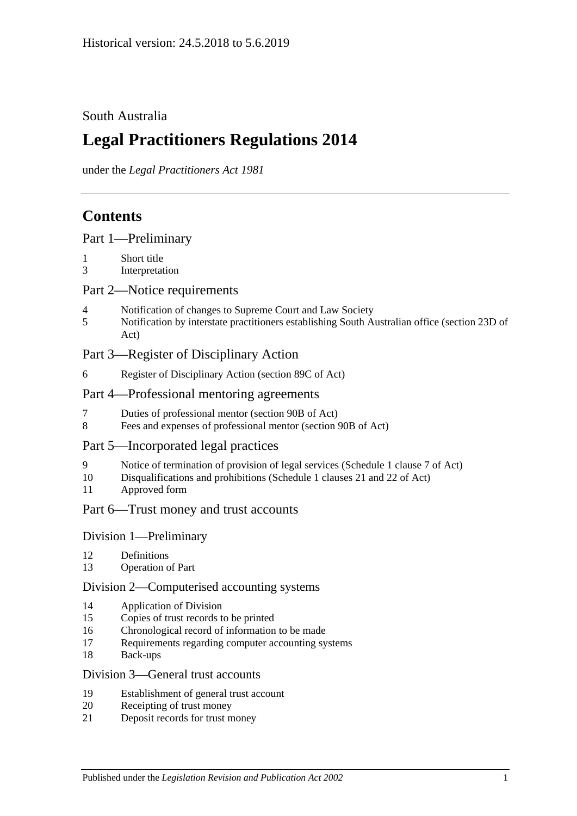# South Australia

# **Legal Practitioners Regulations 2014**

under the *Legal Practitioners Act 1981*

# **Contents**

|  |  | Part 1-Preliminary |
|--|--|--------------------|
|--|--|--------------------|

- 1 [Short title](#page-2-1)
- 3 [Interpretation](#page-2-2)

# Part [2—Notice requirements](#page-2-3)

- 4 [Notification of changes to Supreme Court and Law Society](#page-2-4)
- 5 [Notification by interstate practitioners establishing South Australian office \(section](#page-3-0) 23D of [Act\)](#page-3-0)

# Part [3—Register of Disciplinary Action](#page-4-0)

6 [Register of Disciplinary Action \(section](#page-4-1) 89C of Act)

# Part [4—Professional mentoring agreements](#page-5-0)

- 7 [Duties of professional mentor \(section 90B of Act\)](#page-5-1)
- 8 [Fees and expenses of professional mentor \(section](#page-5-2) 90B of Act)

# Part [5—Incorporated legal practices](#page-5-3)

- 9 [Notice of termination of provision of legal services \(Schedule](#page-5-4) 1 clause 7 of Act)
- 10 [Disqualifications and prohibitions \(Schedule](#page-5-5) 1 clauses 21 and 22 of Act)
- 11 [Approved form](#page-7-0)

# Part [6—Trust money and trust accounts](#page-7-1)

# Division [1—Preliminary](#page-7-2)

- 12 [Definitions](#page-7-3)
- 13 [Operation of Part](#page-7-4)

#### Division [2—Computerised accounting systems](#page-7-5)

- 14 [Application of Division](#page-7-6)
- 15 [Copies of trust records to be printed](#page-8-0)
- 16 [Chronological record of information to be made](#page-8-1)
- 17 [Requirements regarding computer accounting systems](#page-8-2)
- 18 [Back-ups](#page-9-0)

#### Division [3—General trust accounts](#page-9-1)

- 19 [Establishment of general trust account](#page-9-2)
- 20 [Receipting of trust money](#page-10-0)
- 21 [Deposit records for trust money](#page-11-0)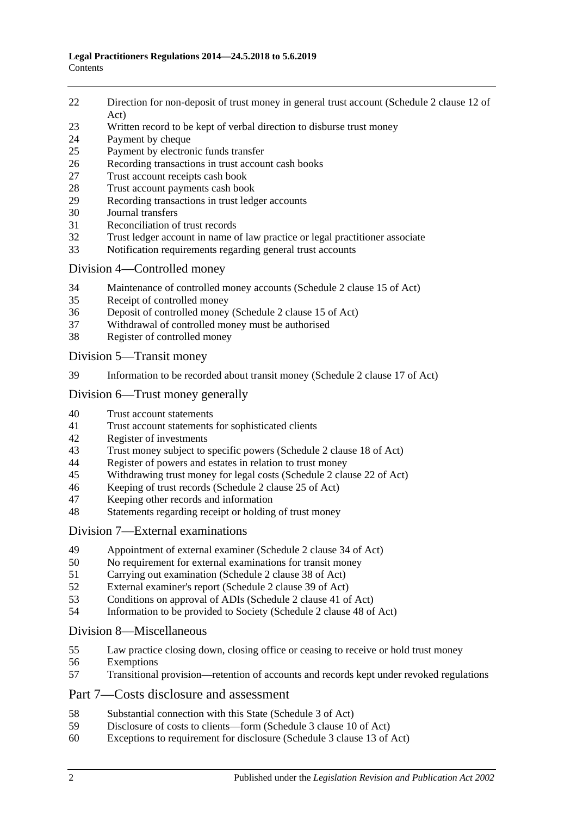- [Direction for non-deposit of trust money in general trust account \(Schedule](#page-11-1) 2 clause 12 of [Act\)](#page-11-1)
- [Written record to be kept of verbal direction to disburse trust money](#page-11-2)
- [Payment by cheque](#page-11-3)
- [Payment by electronic funds transfer](#page-13-0)
- [Recording transactions in trust account cash books](#page-14-0)
- [Trust account receipts cash book](#page-14-1)
- [Trust account payments cash book](#page-15-0)<br>29 Recording transactions in trust leds
- [Recording transactions in trust ledger accounts](#page-16-0)
- [Journal transfers](#page-17-0)
- [Reconciliation of trust records](#page-18-0)
- [Trust ledger account in name of law practice or legal practitioner associate](#page-18-1)
- [Notification requirements regarding general trust accounts](#page-19-0)

# Division [4—Controlled money](#page-20-0)

- [Maintenance of controlled money accounts \(Schedule](#page-20-1) 2 clause 15 of Act)
- [Receipt of controlled money](#page-20-2)
- [Deposit of controlled money \(Schedule](#page-21-0) 2 clause 15 of Act)
- [Withdrawal of controlled money must be authorised](#page-21-1)
- [Register of controlled money](#page-22-0)

Division [5—Transit money](#page-23-0)

[Information to be recorded about transit money \(Schedule](#page-23-1) 2 clause 17 of Act)

# Division [6—Trust money generally](#page-23-2)

- [Trust account statements](#page-23-3)
- [Trust account statements for sophisticated clients](#page-24-0)
- [Register of investments](#page-24-1)<br>43 Trust money subject to s
- [Trust money subject to specific powers \(Schedule 2 clause 18 of Act\)](#page-25-0)
- [Register of powers and estates in relation to trust money](#page-25-1)
- [Withdrawing trust money for legal costs \(Schedule](#page-26-0) 2 clause 22 of Act)
- [Keeping of trust records \(Schedule](#page-27-0) 2 clause 25 of Act)
- [Keeping other records and information](#page-27-1)
- [Statements regarding receipt or holding of trust money](#page-27-2)

# Division [7—External examinations](#page-28-0)

- [Appointment of external examiner \(Schedule](#page-28-1) 2 clause 34 of Act)
- [No requirement for external examinations for transit money](#page-28-2)
- [Carrying out examination \(Schedule](#page-29-0) 2 clause 38 of Act)<br>52 External examiner's report (Schedule 2 clause 39 of Act)
- [External examiner's report \(Schedule](#page-29-1) 2 clause 39 of Act)
- [Conditions on approval of ADIs \(Schedule](#page-30-0) 2 clause 41 of Act)
- [Information to be provided to Society \(Schedule](#page-31-0) 2 clause 48 of Act)

# Division [8—Miscellaneous](#page-31-1)

- [Law practice closing down, closing office or ceasing to receive or hold trust money](#page-31-2)
- [Exemptions](#page-32-0)
- [Transitional provision—retention of accounts and records kept under revoked regulations](#page-32-1)

# Part [7—Costs disclosure and assessment](#page-32-2)

- [Substantial connection with this State \(Schedule](#page-32-3) 3 of Act)
- [Disclosure of costs to clients—form \(Schedule](#page-33-0) 3 clause 10 of Act)
- [Exceptions to requirement for disclosure \(Schedule](#page-33-1) 3 clause 13 of Act)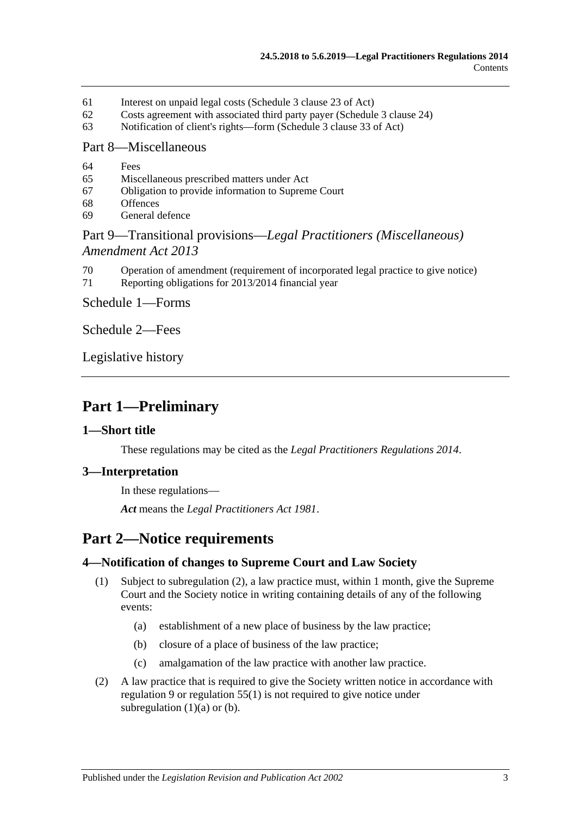- 61 [Interest on unpaid legal costs \(Schedule](#page-33-2) 3 clause 23 of Act)
- 62 [Costs agreement with associated third party payer \(Schedule](#page-33-3) 3 clause 24)
- 63 [Notification of client's rights—form \(Schedule](#page-33-4) 3 clause 33 of Act)

#### Part [8—Miscellaneous](#page-33-5)

- 64 [Fees](#page-33-6)
- 65 [Miscellaneous prescribed matters under Act](#page-34-0)
- 67 [Obligation to provide information to Supreme Court](#page-34-1)
- 68 [Offences](#page-34-2)
- 69 [General defence](#page-35-0)

# Part 9—Transitional provisions—*[Legal Practitioners \(Miscellaneous\)](#page-35-1)  [Amendment Act](#page-35-1) 2013*

- 70 [Operation of amendment \(requirement of incorporated legal](#page-35-2) practice to give notice)
- 71 [Reporting obligations for 2013/2014 financial year](#page-35-3)

Schedule [1—Forms](#page-35-4)

[Schedule](#page-36-0) 2—Fees

[Legislative history](#page-37-0)

# <span id="page-2-0"></span>**Part 1—Preliminary**

#### <span id="page-2-1"></span>**1—Short title**

These regulations may be cited as the *Legal Practitioners Regulations 2014*.

# <span id="page-2-2"></span>**3—Interpretation**

In these regulations—

*Act* means the *[Legal Practitioners Act](http://www.legislation.sa.gov.au/index.aspx?action=legref&type=act&legtitle=Legal%20Practitioners%20Act%201981) 1981*.

# <span id="page-2-3"></span>**Part 2—Notice requirements**

# <span id="page-2-8"></span><span id="page-2-4"></span>**4—Notification of changes to Supreme Court and Law Society**

- <span id="page-2-6"></span>(1) Subject to [subregulation](#page-2-5) (2), a law practice must, within 1 month, give the Supreme Court and the Society notice in writing containing details of any of the following events:
	- (a) establishment of a new place of business by the law practice;
	- (b) closure of a place of business of the law practice;
	- (c) amalgamation of the law practice with another law practice.
- <span id="page-2-7"></span><span id="page-2-5"></span>(2) A law practice that is required to give the Society written notice in accordance with [regulation](#page-5-4) 9 or [regulation](#page-31-3) 55(1) is not required to give notice under [subregulation](#page-2-6)  $(1)(a)$  or  $(b)$ .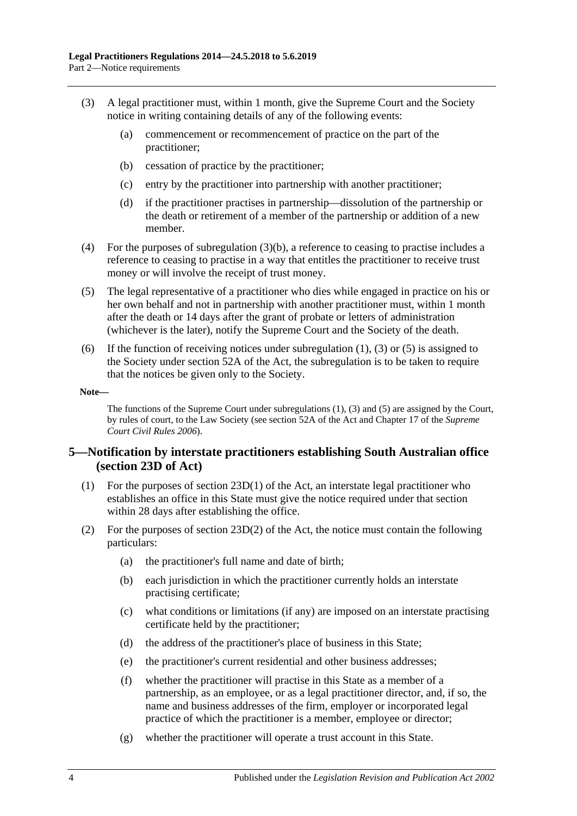- <span id="page-3-2"></span><span id="page-3-1"></span>(3) A legal practitioner must, within 1 month, give the Supreme Court and the Society notice in writing containing details of any of the following events:
	- (a) commencement or recommencement of practice on the part of the practitioner;
	- (b) cessation of practice by the practitioner;
	- (c) entry by the practitioner into partnership with another practitioner;
	- (d) if the practitioner practises in partnership—dissolution of the partnership or the death or retirement of a member of the partnership or addition of a new member.
- (4) For the purposes of [subregulation](#page-3-1) (3)(b), a reference to ceasing to practise includes a reference to ceasing to practise in a way that entitles the practitioner to receive trust money or will involve the receipt of trust money.
- <span id="page-3-3"></span>(5) The legal representative of a practitioner who dies while engaged in practice on his or her own behalf and not in partnership with another practitioner must, within 1 month after the death or 14 days after the grant of probate or letters of administration (whichever is the later), notify the Supreme Court and the Society of the death.
- (6) If the function of receiving notices under [subregulation](#page-2-8) (1), [\(3\)](#page-3-2) or [\(5\)](#page-3-3) is assigned to the Society under section 52A of the Act, the subregulation is to be taken to require that the notices be given only to the Society.

#### **Note—**

The functions of the Supreme Court unde[r subregulations](#page-2-8) (1), [\(3\)](#page-3-2) and [\(5\)](#page-3-3) are assigned by the Court, by rules of court, to the Law Society (see section 52A of the Act and Chapter 17 of the *Supreme Court Civil Rules 2006*).

# <span id="page-3-0"></span>**5—Notification by interstate practitioners establishing South Australian office (section 23D of Act)**

- (1) For the purposes of section 23D(1) of the Act, an interstate legal practitioner who establishes an office in this State must give the notice required under that section within 28 days after establishing the office.
- (2) For the purposes of section  $23D(2)$  of the Act, the notice must contain the following particulars:
	- (a) the practitioner's full name and date of birth;
	- (b) each jurisdiction in which the practitioner currently holds an interstate practising certificate;
	- (c) what conditions or limitations (if any) are imposed on an interstate practising certificate held by the practitioner;
	- (d) the address of the practitioner's place of business in this State;
	- (e) the practitioner's current residential and other business addresses;
	- (f) whether the practitioner will practise in this State as a member of a partnership, as an employee, or as a legal practitioner director, and, if so, the name and business addresses of the firm, employer or incorporated legal practice of which the practitioner is a member, employee or director;
	- (g) whether the practitioner will operate a trust account in this State.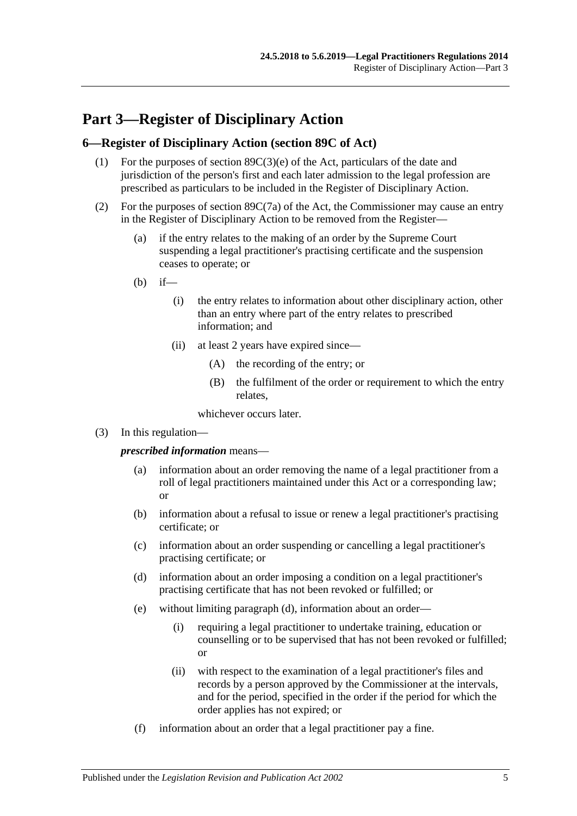# <span id="page-4-0"></span>**Part 3—Register of Disciplinary Action**

### <span id="page-4-1"></span>**6—Register of Disciplinary Action (section 89C of Act)**

- (1) For the purposes of section 89C(3)(e) of the Act, particulars of the date and jurisdiction of the person's first and each later admission to the legal profession are prescribed as particulars to be included in the Register of Disciplinary Action.
- (2) For the purposes of section 89C(7a) of the Act, the Commissioner may cause an entry in the Register of Disciplinary Action to be removed from the Register—
	- (a) if the entry relates to the making of an order by the Supreme Court suspending a legal practitioner's practising certificate and the suspension ceases to operate; or
	- $(h)$  if—
		- (i) the entry relates to information about other disciplinary action, other than an entry where part of the entry relates to prescribed information; and
		- (ii) at least 2 years have expired since—
			- (A) the recording of the entry; or
			- (B) the fulfilment of the order or requirement to which the entry relates,

whichever occurs later.

(3) In this regulation—

*prescribed information* means—

- (a) information about an order removing the name of a legal practitioner from a roll of legal practitioners maintained under this Act or a corresponding law; or
- (b) information about a refusal to issue or renew a legal practitioner's practising certificate; or
- (c) information about an order suspending or cancelling a legal practitioner's practising certificate; or
- <span id="page-4-2"></span>(d) information about an order imposing a condition on a legal practitioner's practising certificate that has not been revoked or fulfilled; or
- (e) without limiting [paragraph](#page-4-2) (d), information about an order—
	- (i) requiring a legal practitioner to undertake training, education or counselling or to be supervised that has not been revoked or fulfilled; or
	- (ii) with respect to the examination of a legal practitioner's files and records by a person approved by the Commissioner at the intervals, and for the period, specified in the order if the period for which the order applies has not expired; or
- (f) information about an order that a legal practitioner pay a fine.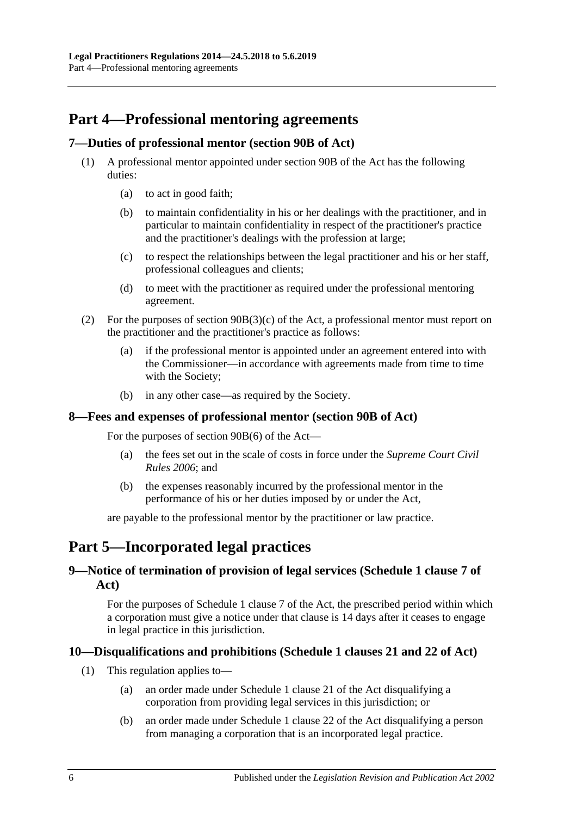# <span id="page-5-0"></span>**Part 4—Professional mentoring agreements**

# <span id="page-5-1"></span>**7—Duties of professional mentor (section 90B of Act)**

- (1) A professional mentor appointed under section 90B of the Act has the following duties:
	- (a) to act in good faith;
	- (b) to maintain confidentiality in his or her dealings with the practitioner, and in particular to maintain confidentiality in respect of the practitioner's practice and the practitioner's dealings with the profession at large;
	- (c) to respect the relationships between the legal practitioner and his or her staff, professional colleagues and clients;
	- (d) to meet with the practitioner as required under the professional mentoring agreement.
- (2) For the purposes of section 90B(3)(c) of the Act, a professional mentor must report on the practitioner and the practitioner's practice as follows:
	- (a) if the professional mentor is appointed under an agreement entered into with the Commissioner—in accordance with agreements made from time to time with the Society;
	- (b) in any other case—as required by the Society.

#### <span id="page-5-2"></span>**8—Fees and expenses of professional mentor (section 90B of Act)**

For the purposes of section 90B(6) of the Act—

- (a) the fees set out in the scale of costs in force under the *Supreme Court Civil Rules 2006*; and
- (b) the expenses reasonably incurred by the professional mentor in the performance of his or her duties imposed by or under the Act,

are payable to the professional mentor by the practitioner or law practice.

# <span id="page-5-3"></span>**Part 5—Incorporated legal practices**

# <span id="page-5-4"></span>**9—Notice of termination of provision of legal services (Schedule 1 clause 7 of Act)**

For the purposes of Schedule 1 clause 7 of the Act, the prescribed period within which a corporation must give a notice under that clause is 14 days after it ceases to engage in legal practice in this jurisdiction.

# <span id="page-5-5"></span>**10—Disqualifications and prohibitions (Schedule 1 clauses 21 and 22 of Act)**

- (1) This regulation applies to—
	- (a) an order made under Schedule 1 clause 21 of the Act disqualifying a corporation from providing legal services in this jurisdiction; or
	- (b) an order made under Schedule 1 clause 22 of the Act disqualifying a person from managing a corporation that is an incorporated legal practice.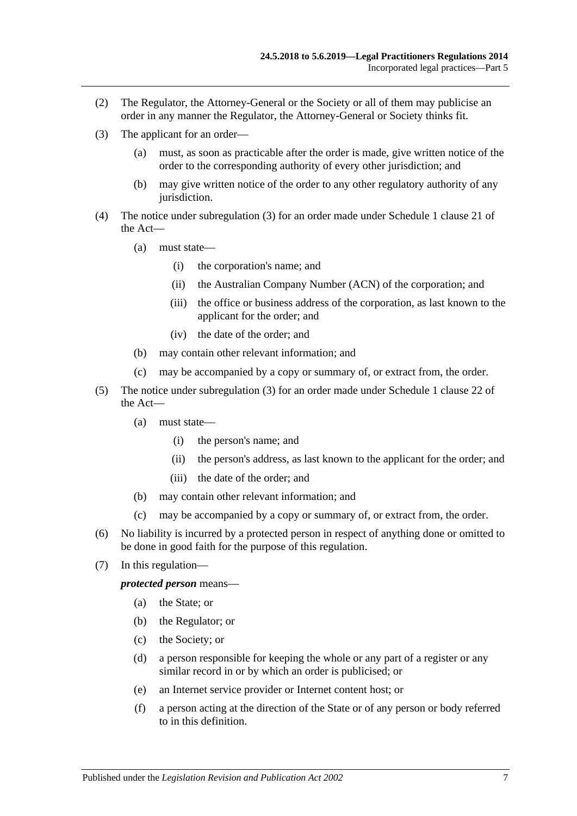- (2) The Regulator, the Attorney-General or the Society or all of them may publicise an order in any manner the Regulator, the Attorney-General or Society thinks fit.
- <span id="page-6-0"></span>(3) The applicant for an order—
	- (a) must, as soon as practicable after the order is made, give written notice of the order to the corresponding authority of every other jurisdiction; and
	- (b) may give written notice of the order to any other regulatory authority of any jurisdiction.
- (4) The notice under [subregulation](#page-6-0) (3) for an order made under Schedule 1 clause 21 of the Act—
	- (a) must state—
		- (i) the corporation's name; and
		- (ii) the Australian Company Number (ACN) of the corporation; and
		- (iii) the office or business address of the corporation, as last known to the applicant for the order; and
		- (iv) the date of the order; and
	- (b) may contain other relevant information; and
	- (c) may be accompanied by a copy or summary of, or extract from, the order.
- (5) The notice under [subregulation](#page-6-0) (3) for an order made under Schedule 1 clause 22 of the Act—
	- (a) must state—
		- (i) the person's name; and
		- (ii) the person's address, as last known to the applicant for the order; and
		- (iii) the date of the order; and
	- (b) may contain other relevant information; and
	- (c) may be accompanied by a copy or summary of, or extract from, the order.
- (6) No liability is incurred by a protected person in respect of anything done or omitted to be done in good faith for the purpose of this regulation.
- (7) In this regulation—

*protected person* means—

- (a) the State; or
- (b) the Regulator; or
- (c) the Society; or
- (d) a person responsible for keeping the whole or any part of a register or any similar record in or by which an order is publicised; or
- (e) an Internet service provider or Internet content host; or
- (f) a person acting at the direction of the State or of any person or body referred to in this definition.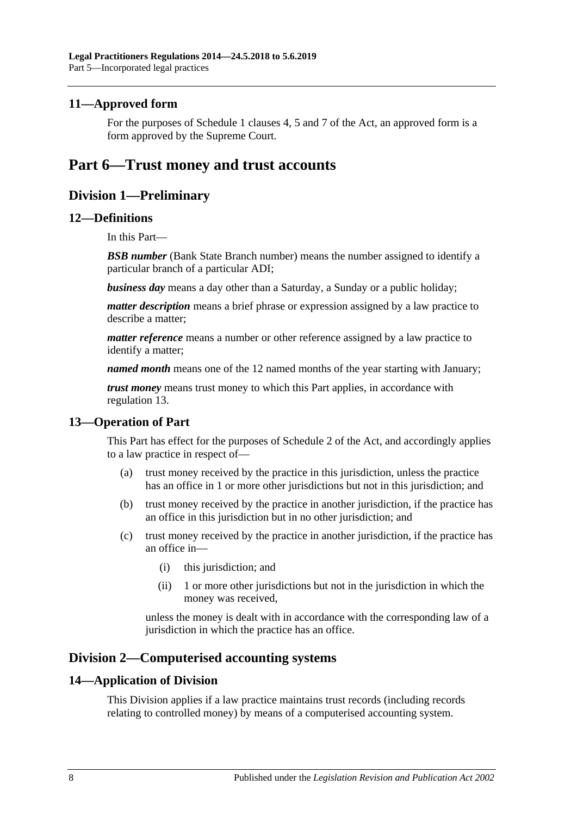# <span id="page-7-0"></span>**11—Approved form**

For the purposes of Schedule 1 clauses 4, 5 and 7 of the Act, an approved form is a form approved by the Supreme Court.

# <span id="page-7-2"></span><span id="page-7-1"></span>**Part 6—Trust money and trust accounts**

# **Division 1—Preliminary**

#### <span id="page-7-3"></span>**12—Definitions**

In this Part—

**BSB number** (Bank State Branch number) means the number assigned to identify a particular branch of a particular ADI;

*business day* means a day other than a Saturday, a Sunday or a public holiday;

*matter description* means a brief phrase or expression assigned by a law practice to describe a matter;

*matter reference* means a number or other reference assigned by a law practice to identify a matter;

*named month* means one of the 12 named months of the year starting with January;

*trust money* means trust money to which this Part applies, in accordance with [regulation](#page-7-4) 13.

# <span id="page-7-4"></span>**13—Operation of Part**

This Part has effect for the purposes of Schedule 2 of the Act, and accordingly applies to a law practice in respect of—

- (a) trust money received by the practice in this jurisdiction, unless the practice has an office in 1 or more other jurisdictions but not in this jurisdiction; and
- (b) trust money received by the practice in another jurisdiction, if the practice has an office in this jurisdiction but in no other jurisdiction; and
- (c) trust money received by the practice in another jurisdiction, if the practice has an office in—
	- (i) this jurisdiction; and
	- (ii) 1 or more other jurisdictions but not in the jurisdiction in which the money was received,

unless the money is dealt with in accordance with the corresponding law of a jurisdiction in which the practice has an office.

# <span id="page-7-5"></span>**Division 2—Computerised accounting systems**

#### <span id="page-7-6"></span>**14—Application of Division**

This Division applies if a law practice maintains trust records (including records relating to controlled money) by means of a computerised accounting system.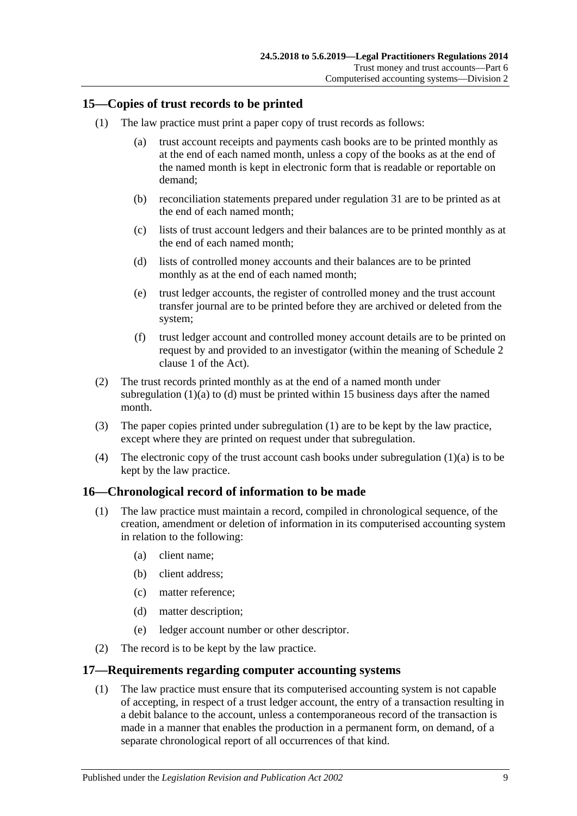# <span id="page-8-5"></span><span id="page-8-0"></span>**15—Copies of trust records to be printed**

- <span id="page-8-3"></span>(1) The law practice must print a paper copy of trust records as follows:
	- (a) trust account receipts and payments cash books are to be printed monthly as at the end of each named month, unless a copy of the books as at the end of the named month is kept in electronic form that is readable or reportable on demand;
	- (b) reconciliation statements prepared under [regulation](#page-18-0) 31 are to be printed as at the end of each named month;
	- (c) lists of trust account ledgers and their balances are to be printed monthly as at the end of each named month;
	- (d) lists of controlled money accounts and their balances are to be printed monthly as at the end of each named month;
	- (e) trust ledger accounts, the register of controlled money and the trust account transfer journal are to be printed before they are archived or deleted from the system;
	- (f) trust ledger account and controlled money account details are to be printed on request by and provided to an investigator (within the meaning of Schedule 2 clause 1 of the Act).
- <span id="page-8-4"></span>(2) The trust records printed monthly as at the end of a named month under [subregulation](#page-8-3)  $(1)(a)$  to  $(d)$  must be printed within 15 business days after the named month.
- (3) The paper copies printed under [subregulation](#page-8-5) (1) are to be kept by the law practice, except where they are printed on request under that subregulation.
- (4) The electronic copy of the trust account cash books under [subregulation](#page-8-3)  $(1)(a)$  is to be kept by the law practice.

# <span id="page-8-1"></span>**16—Chronological record of information to be made**

- (1) The law practice must maintain a record, compiled in chronological sequence, of the creation, amendment or deletion of information in its computerised accounting system in relation to the following:
	- (a) client name;
	- (b) client address;
	- (c) matter reference;
	- (d) matter description;
	- (e) ledger account number or other descriptor.
- (2) The record is to be kept by the law practice.

# <span id="page-8-2"></span>**17—Requirements regarding computer accounting systems**

(1) The law practice must ensure that its computerised accounting system is not capable of accepting, in respect of a trust ledger account, the entry of a transaction resulting in a debit balance to the account, unless a contemporaneous record of the transaction is made in a manner that enables the production in a permanent form, on demand, of a separate chronological report of all occurrences of that kind.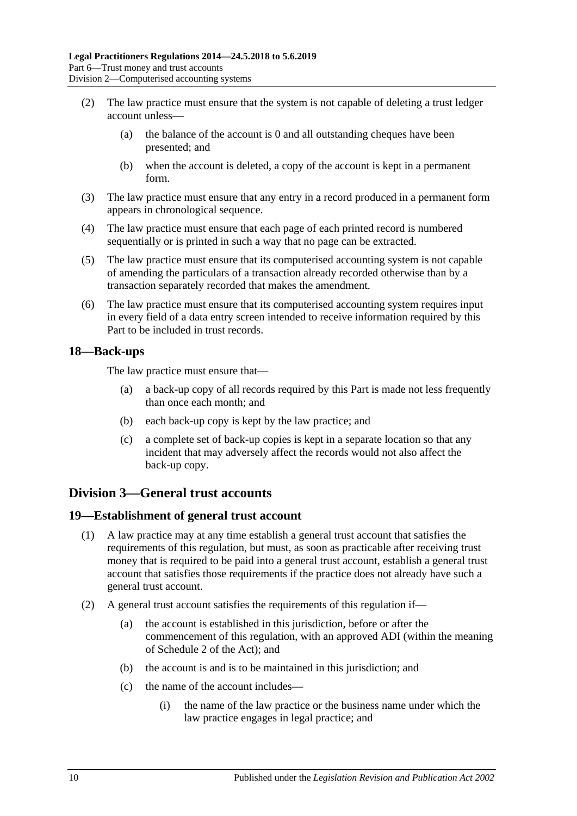- (2) The law practice must ensure that the system is not capable of deleting a trust ledger account unless—
	- (a) the balance of the account is 0 and all outstanding cheques have been presented; and
	- (b) when the account is deleted, a copy of the account is kept in a permanent form.
- (3) The law practice must ensure that any entry in a record produced in a permanent form appears in chronological sequence.
- (4) The law practice must ensure that each page of each printed record is numbered sequentially or is printed in such a way that no page can be extracted.
- (5) The law practice must ensure that its computerised accounting system is not capable of amending the particulars of a transaction already recorded otherwise than by a transaction separately recorded that makes the amendment.
- (6) The law practice must ensure that its computerised accounting system requires input in every field of a data entry screen intended to receive information required by this Part to be included in trust records.

### <span id="page-9-0"></span>**18—Back-ups**

The law practice must ensure that—

- (a) a back-up copy of all records required by this Part is made not less frequently than once each month; and
- (b) each back-up copy is kept by the law practice; and
- (c) a complete set of back-up copies is kept in a separate location so that any incident that may adversely affect the records would not also affect the back-up copy.

# <span id="page-9-1"></span>**Division 3—General trust accounts**

# <span id="page-9-2"></span>**19—Establishment of general trust account**

- (1) A law practice may at any time establish a general trust account that satisfies the requirements of this regulation, but must, as soon as practicable after receiving trust money that is required to be paid into a general trust account, establish a general trust account that satisfies those requirements if the practice does not already have such a general trust account.
- <span id="page-9-3"></span>(2) A general trust account satisfies the requirements of this regulation if—
	- (a) the account is established in this jurisdiction, before or after the commencement of this regulation, with an approved ADI (within the meaning of Schedule 2 of the Act); and
	- (b) the account is and is to be maintained in this jurisdiction; and
	- (c) the name of the account includes—
		- (i) the name of the law practice or the business name under which the law practice engages in legal practice; and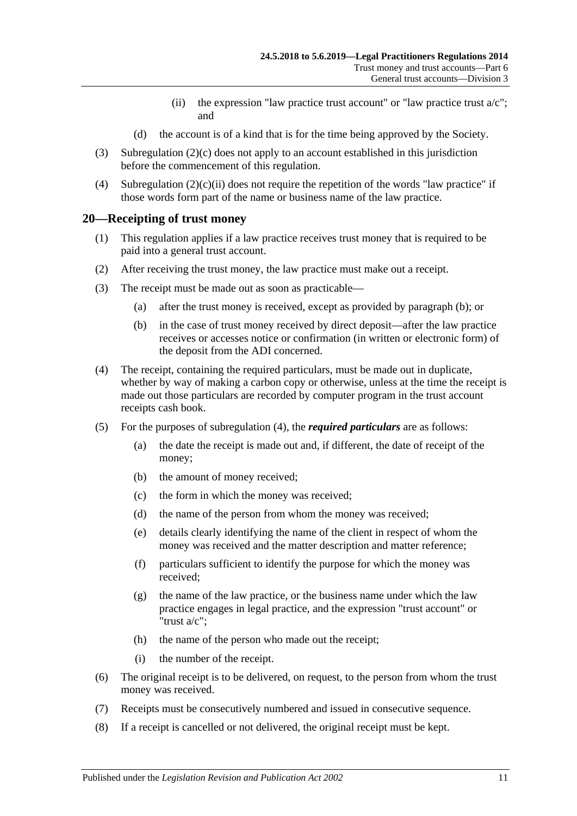- (ii) the expression "law practice trust account" or "law practice trust  $a/c$ "; and
- (d) the account is of a kind that is for the time being approved by the Society.
- <span id="page-10-1"></span>(3) [Subregulation](#page-9-3) (2)(c) does not apply to an account established in this jurisdiction before the commencement of this regulation.
- (4) [Subregulation](#page-10-1)  $(2)(c)(ii)$  does not require the repetition of the words "law practice" if those words form part of the name or business name of the law practice.

#### <span id="page-10-0"></span>**20—Receipting of trust money**

- (1) This regulation applies if a law practice receives trust money that is required to be paid into a general trust account.
- (2) After receiving the trust money, the law practice must make out a receipt.
- <span id="page-10-2"></span>(3) The receipt must be made out as soon as practicable—
	- (a) after the trust money is received, except as provided by [paragraph](#page-10-2) (b); or
	- (b) in the case of trust money received by direct deposit—after the law practice receives or accesses notice or confirmation (in written or electronic form) of the deposit from the ADI concerned.
- <span id="page-10-3"></span>(4) The receipt, containing the required particulars, must be made out in duplicate, whether by way of making a carbon copy or otherwise, unless at the time the receipt is made out those particulars are recorded by computer program in the trust account receipts cash book.
- (5) For the purposes of [subregulation](#page-10-3) (4), the *required particulars* are as follows:
	- (a) the date the receipt is made out and, if different, the date of receipt of the money;
	- (b) the amount of money received;
	- (c) the form in which the money was received;
	- (d) the name of the person from whom the money was received;
	- (e) details clearly identifying the name of the client in respect of whom the money was received and the matter description and matter reference;
	- (f) particulars sufficient to identify the purpose for which the money was received;
	- (g) the name of the law practice, or the business name under which the law practice engages in legal practice, and the expression "trust account" or "trust a/c";
	- (h) the name of the person who made out the receipt;
	- (i) the number of the receipt.
- (6) The original receipt is to be delivered, on request, to the person from whom the trust money was received.
- (7) Receipts must be consecutively numbered and issued in consecutive sequence.
- (8) If a receipt is cancelled or not delivered, the original receipt must be kept.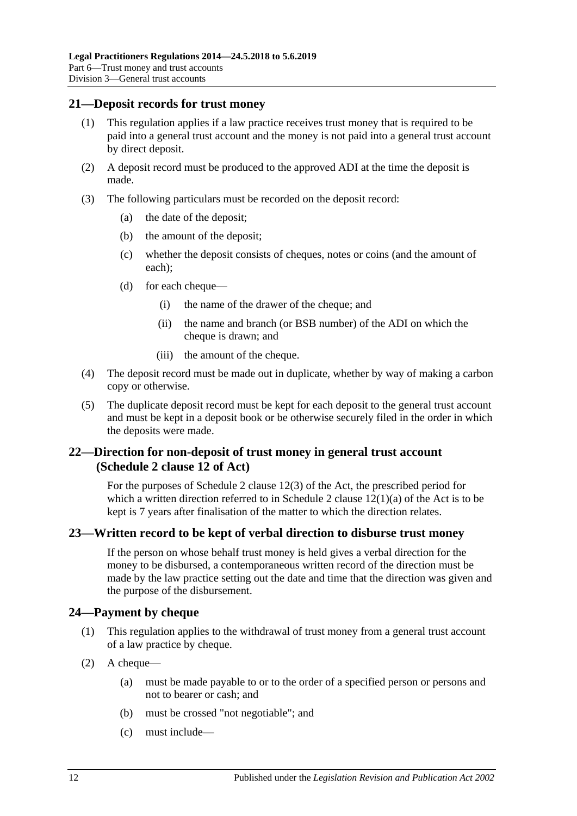#### <span id="page-11-0"></span>**21—Deposit records for trust money**

- (1) This regulation applies if a law practice receives trust money that is required to be paid into a general trust account and the money is not paid into a general trust account by direct deposit.
- (2) A deposit record must be produced to the approved ADI at the time the deposit is made.
- (3) The following particulars must be recorded on the deposit record:
	- (a) the date of the deposit;
	- (b) the amount of the deposit;
	- (c) whether the deposit consists of cheques, notes or coins (and the amount of each);
	- (d) for each cheque—
		- (i) the name of the drawer of the cheque; and
		- (ii) the name and branch (or BSB number) of the ADI on which the cheque is drawn; and
		- (iii) the amount of the cheque.
- (4) The deposit record must be made out in duplicate, whether by way of making a carbon copy or otherwise.
- (5) The duplicate deposit record must be kept for each deposit to the general trust account and must be kept in a deposit book or be otherwise securely filed in the order in which the deposits were made.

# <span id="page-11-1"></span>**22—Direction for non-deposit of trust money in general trust account (Schedule 2 clause 12 of Act)**

For the purposes of Schedule 2 clause 12(3) of the Act, the prescribed period for which a written direction referred to in Schedule 2 clause  $12(1)(a)$  of the Act is to be kept is 7 years after finalisation of the matter to which the direction relates.

# <span id="page-11-2"></span>**23—Written record to be kept of verbal direction to disburse trust money**

If the person on whose behalf trust money is held gives a verbal direction for the money to be disbursed, a contemporaneous written record of the direction must be made by the law practice setting out the date and time that the direction was given and the purpose of the disbursement.

# <span id="page-11-3"></span>**24—Payment by cheque**

- (1) This regulation applies to the withdrawal of trust money from a general trust account of a law practice by cheque.
- <span id="page-11-4"></span>(2) A cheque—
	- (a) must be made payable to or to the order of a specified person or persons and not to bearer or cash; and
	- (b) must be crossed "not negotiable"; and
	- (c) must include—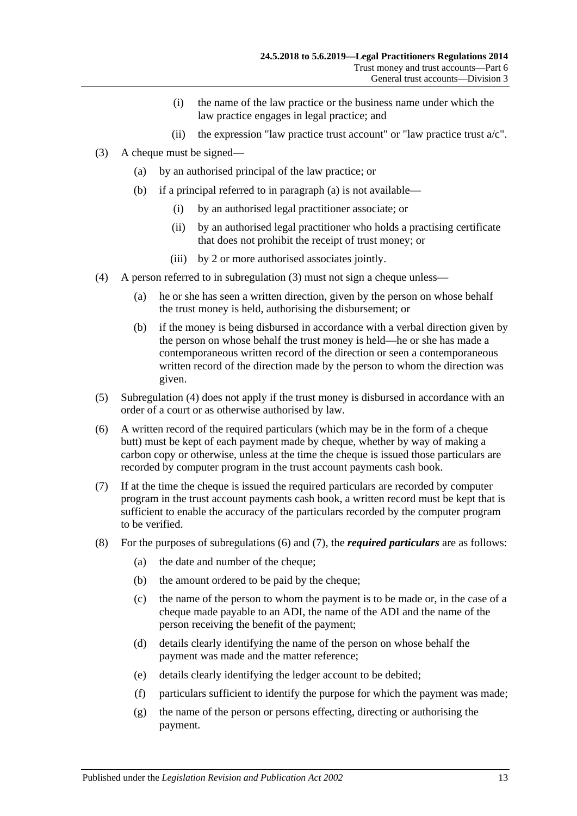- (i) the name of the law practice or the business name under which the law practice engages in legal practice; and
- (ii) the expression "law practice trust account" or "law practice trust  $a/c$ ".
- <span id="page-12-5"></span><span id="page-12-1"></span><span id="page-12-0"></span>(3) A cheque must be signed—
	- (a) by an authorised principal of the law practice; or
	- (b) if a principal referred to in [paragraph](#page-12-0) (a) is not available—
		- (i) by an authorised legal practitioner associate; or
		- (ii) by an authorised legal practitioner who holds a practising certificate that does not prohibit the receipt of trust money; or
		- (iii) by 2 or more authorised associates jointly.
- <span id="page-12-2"></span>(4) A person referred to in [subregulation](#page-12-1) (3) must not sign a cheque unless—
	- (a) he or she has seen a written direction, given by the person on whose behalf the trust money is held, authorising the disbursement; or
	- (b) if the money is being disbursed in accordance with a verbal direction given by the person on whose behalf the trust money is held—he or she has made a contemporaneous written record of the direction or seen a contemporaneous written record of the direction made by the person to whom the direction was given.
- (5) [Subregulation](#page-12-2) (4) does not apply if the trust money is disbursed in accordance with an order of a court or as otherwise authorised by law.
- <span id="page-12-3"></span>(6) A written record of the required particulars (which may be in the form of a cheque butt) must be kept of each payment made by cheque, whether by way of making a carbon copy or otherwise, unless at the time the cheque is issued those particulars are recorded by computer program in the trust account payments cash book.
- <span id="page-12-4"></span>(7) If at the time the cheque is issued the required particulars are recorded by computer program in the trust account payments cash book, a written record must be kept that is sufficient to enable the accuracy of the particulars recorded by the computer program to be verified.
- (8) For the purposes of [subregulations](#page-12-3) (6) and [\(7\),](#page-12-4) the *required particulars* are as follows:
	- (a) the date and number of the cheque;
	- (b) the amount ordered to be paid by the cheque;
	- (c) the name of the person to whom the payment is to be made or, in the case of a cheque made payable to an ADI, the name of the ADI and the name of the person receiving the benefit of the payment;
	- (d) details clearly identifying the name of the person on whose behalf the payment was made and the matter reference;
	- (e) details clearly identifying the ledger account to be debited;
	- (f) particulars sufficient to identify the purpose for which the payment was made;
	- (g) the name of the person or persons effecting, directing or authorising the payment.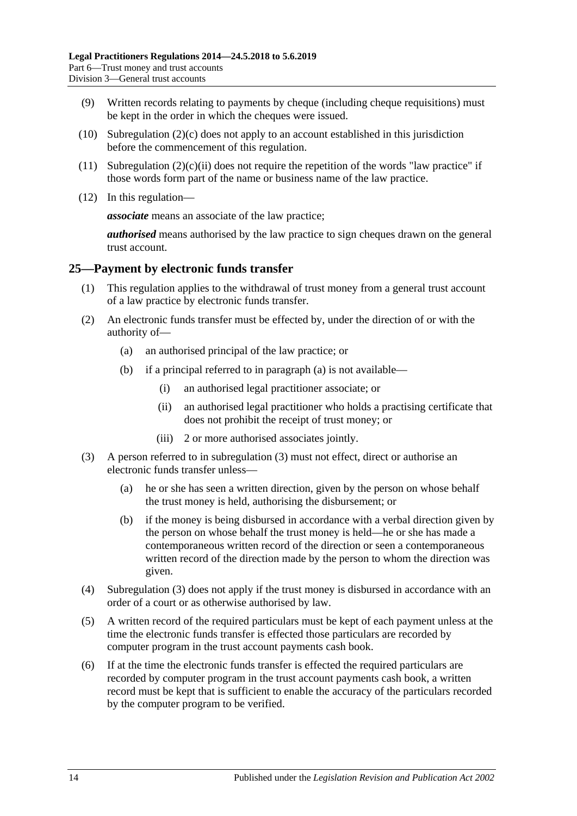- (9) Written records relating to payments by cheque (including cheque requisitions) must be kept in the order in which the cheques were issued.
- (10) [Subregulation](#page-11-4)  $(2)(c)$  does not apply to an account established in this jurisdiction before the commencement of this regulation.
- (11) [Subregulation](#page-12-5)  $(2)(c)(ii)$  does not require the repetition of the words "law practice" if those words form part of the name or business name of the law practice.
- (12) In this regulation—

*associate* means an associate of the law practice;

*authorised* means authorised by the law practice to sign cheques drawn on the general trust account.

### <span id="page-13-0"></span>**25—Payment by electronic funds transfer**

- (1) This regulation applies to the withdrawal of trust money from a general trust account of a law practice by electronic funds transfer.
- <span id="page-13-1"></span>(2) An electronic funds transfer must be effected by, under the direction of or with the authority of—
	- (a) an authorised principal of the law practice; or
	- (b) if a principal referred to in [paragraph](#page-13-1) (a) is not available—
		- (i) an authorised legal practitioner associate; or
		- (ii) an authorised legal practitioner who holds a practising certificate that does not prohibit the receipt of trust money; or
		- (iii) 2 or more authorised associates jointly.
- <span id="page-13-2"></span>(3) A person referred to in [subregulation](#page-12-1) (3) must not effect, direct or authorise an electronic funds transfer unless—
	- (a) he or she has seen a written direction, given by the person on whose behalf the trust money is held, authorising the disbursement; or
	- (b) if the money is being disbursed in accordance with a verbal direction given by the person on whose behalf the trust money is held—he or she has made a contemporaneous written record of the direction or seen a contemporaneous written record of the direction made by the person to whom the direction was given.
- (4) [Subregulation](#page-13-2) (3) does not apply if the trust money is disbursed in accordance with an order of a court or as otherwise authorised by law.
- <span id="page-13-3"></span>(5) A written record of the required particulars must be kept of each payment unless at the time the electronic funds transfer is effected those particulars are recorded by computer program in the trust account payments cash book.
- <span id="page-13-4"></span>(6) If at the time the electronic funds transfer is effected the required particulars are recorded by computer program in the trust account payments cash book, a written record must be kept that is sufficient to enable the accuracy of the particulars recorded by the computer program to be verified.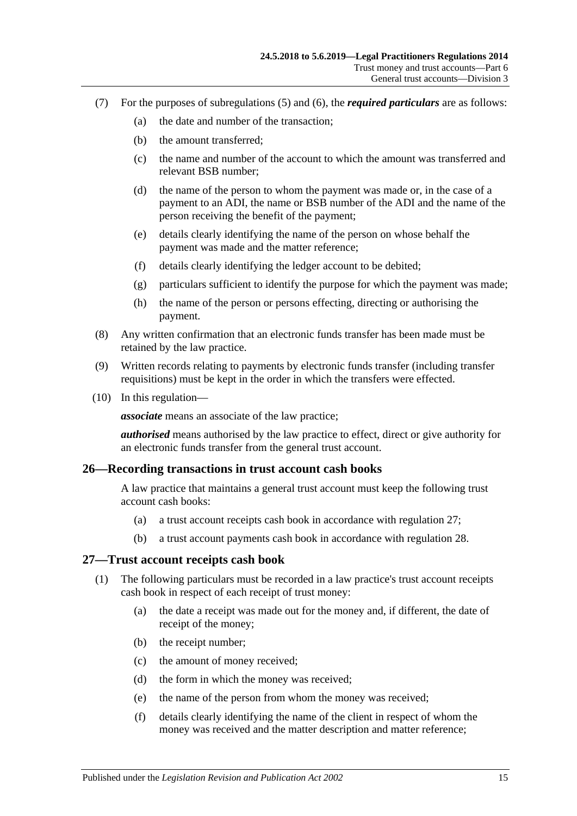- (7) For the purposes of [subregulations](#page-13-3) (5) and [\(6\),](#page-13-4) the *required particulars* are as follows:
	- (a) the date and number of the transaction;
	- (b) the amount transferred;
	- (c) the name and number of the account to which the amount was transferred and relevant BSB number;
	- (d) the name of the person to whom the payment was made or, in the case of a payment to an ADI, the name or BSB number of the ADI and the name of the person receiving the benefit of the payment;
	- (e) details clearly identifying the name of the person on whose behalf the payment was made and the matter reference;
	- (f) details clearly identifying the ledger account to be debited;
	- (g) particulars sufficient to identify the purpose for which the payment was made;
	- (h) the name of the person or persons effecting, directing or authorising the payment.
- (8) Any written confirmation that an electronic funds transfer has been made must be retained by the law practice.
- (9) Written records relating to payments by electronic funds transfer (including transfer requisitions) must be kept in the order in which the transfers were effected.
- (10) In this regulation—

*associate* means an associate of the law practice;

*authorised* means authorised by the law practice to effect, direct or give authority for an electronic funds transfer from the general trust account.

#### <span id="page-14-0"></span>**26—Recording transactions in trust account cash books**

A law practice that maintains a general trust account must keep the following trust account cash books:

- (a) a trust account receipts cash book in accordance with [regulation](#page-14-1) 27;
- (b) a trust account payments cash book in accordance with [regulation](#page-15-0) 28.

#### <span id="page-14-1"></span>**27—Trust account receipts cash book**

- (1) The following particulars must be recorded in a law practice's trust account receipts cash book in respect of each receipt of trust money:
	- (a) the date a receipt was made out for the money and, if different, the date of receipt of the money;
	- (b) the receipt number;
	- (c) the amount of money received;
	- (d) the form in which the money was received;
	- (e) the name of the person from whom the money was received;
	- (f) details clearly identifying the name of the client in respect of whom the money was received and the matter description and matter reference;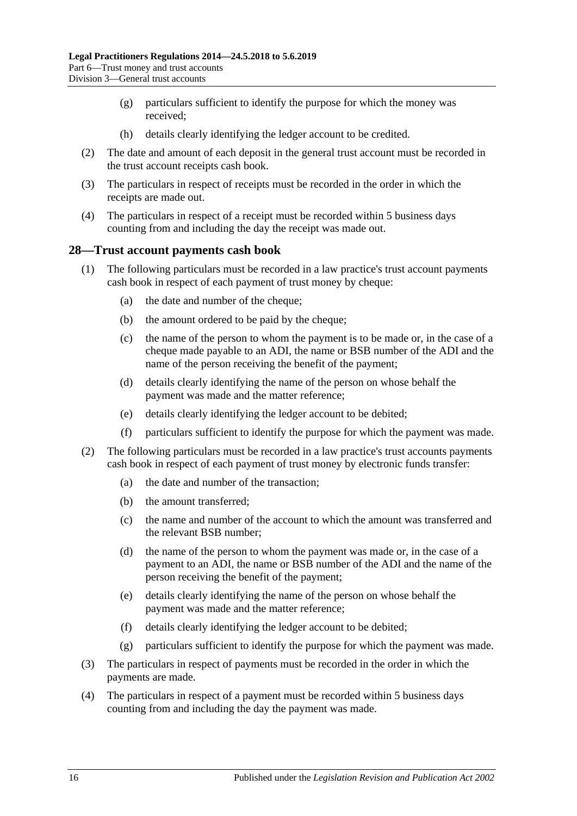- (g) particulars sufficient to identify the purpose for which the money was received;
- (h) details clearly identifying the ledger account to be credited.
- (2) The date and amount of each deposit in the general trust account must be recorded in the trust account receipts cash book.
- (3) The particulars in respect of receipts must be recorded in the order in which the receipts are made out.
- (4) The particulars in respect of a receipt must be recorded within 5 business days counting from and including the day the receipt was made out.

### <span id="page-15-0"></span>**28—Trust account payments cash book**

- (1) The following particulars must be recorded in a law practice's trust account payments cash book in respect of each payment of trust money by cheque:
	- (a) the date and number of the cheque;
	- (b) the amount ordered to be paid by the cheque;
	- (c) the name of the person to whom the payment is to be made or, in the case of a cheque made payable to an ADI, the name or BSB number of the ADI and the name of the person receiving the benefit of the payment;
	- (d) details clearly identifying the name of the person on whose behalf the payment was made and the matter reference;
	- (e) details clearly identifying the ledger account to be debited;
	- (f) particulars sufficient to identify the purpose for which the payment was made.
- (2) The following particulars must be recorded in a law practice's trust accounts payments cash book in respect of each payment of trust money by electronic funds transfer:
	- (a) the date and number of the transaction;
	- (b) the amount transferred;
	- (c) the name and number of the account to which the amount was transferred and the relevant BSB number;
	- (d) the name of the person to whom the payment was made or, in the case of a payment to an ADI, the name or BSB number of the ADI and the name of the person receiving the benefit of the payment;
	- (e) details clearly identifying the name of the person on whose behalf the payment was made and the matter reference;
	- (f) details clearly identifying the ledger account to be debited;
	- (g) particulars sufficient to identify the purpose for which the payment was made.
- (3) The particulars in respect of payments must be recorded in the order in which the payments are made.
- (4) The particulars in respect of a payment must be recorded within 5 business days counting from and including the day the payment was made.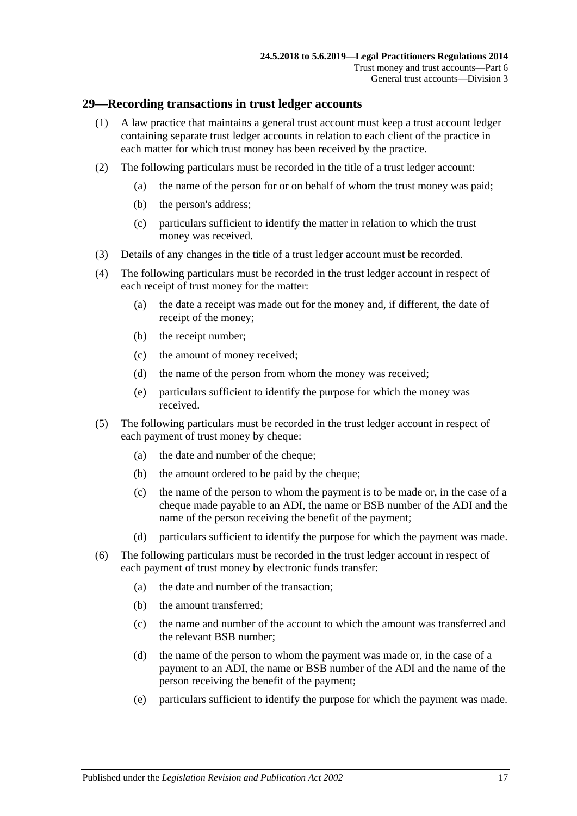### <span id="page-16-0"></span>**29—Recording transactions in trust ledger accounts**

- (1) A law practice that maintains a general trust account must keep a trust account ledger containing separate trust ledger accounts in relation to each client of the practice in each matter for which trust money has been received by the practice.
- (2) The following particulars must be recorded in the title of a trust ledger account:
	- (a) the name of the person for or on behalf of whom the trust money was paid;
	- (b) the person's address;
	- (c) particulars sufficient to identify the matter in relation to which the trust money was received.
- (3) Details of any changes in the title of a trust ledger account must be recorded.
- (4) The following particulars must be recorded in the trust ledger account in respect of each receipt of trust money for the matter:
	- (a) the date a receipt was made out for the money and, if different, the date of receipt of the money;
	- (b) the receipt number;
	- (c) the amount of money received;
	- (d) the name of the person from whom the money was received;
	- (e) particulars sufficient to identify the purpose for which the money was received.
- (5) The following particulars must be recorded in the trust ledger account in respect of each payment of trust money by cheque:
	- (a) the date and number of the cheque;
	- (b) the amount ordered to be paid by the cheque;
	- (c) the name of the person to whom the payment is to be made or, in the case of a cheque made payable to an ADI, the name or BSB number of the ADI and the name of the person receiving the benefit of the payment;
	- (d) particulars sufficient to identify the purpose for which the payment was made.
- (6) The following particulars must be recorded in the trust ledger account in respect of each payment of trust money by electronic funds transfer:
	- (a) the date and number of the transaction;
	- (b) the amount transferred;
	- (c) the name and number of the account to which the amount was transferred and the relevant BSB number;
	- (d) the name of the person to whom the payment was made or, in the case of a payment to an ADI, the name or BSB number of the ADI and the name of the person receiving the benefit of the payment;
	- (e) particulars sufficient to identify the purpose for which the payment was made.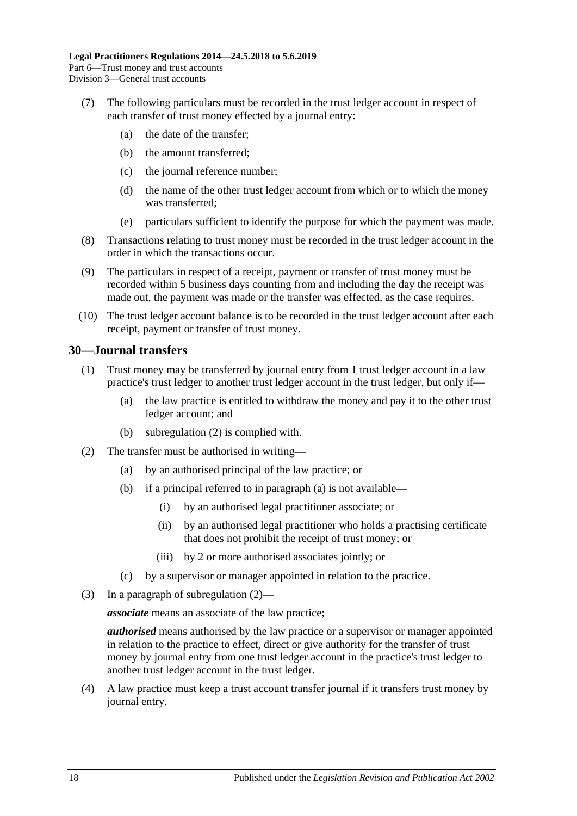- (7) The following particulars must be recorded in the trust ledger account in respect of each transfer of trust money effected by a journal entry:
	- (a) the date of the transfer;
	- (b) the amount transferred;
	- (c) the journal reference number;
	- (d) the name of the other trust ledger account from which or to which the money was transferred;
	- (e) particulars sufficient to identify the purpose for which the payment was made.
- (8) Transactions relating to trust money must be recorded in the trust ledger account in the order in which the transactions occur.
- (9) The particulars in respect of a receipt, payment or transfer of trust money must be recorded within 5 business days counting from and including the day the receipt was made out, the payment was made or the transfer was effected, as the case requires.
- (10) The trust ledger account balance is to be recorded in the trust ledger account after each receipt, payment or transfer of trust money.

### <span id="page-17-0"></span>**30—Journal transfers**

- (1) Trust money may be transferred by journal entry from 1 trust ledger account in a law practice's trust ledger to another trust ledger account in the trust ledger, but only if—
	- (a) the law practice is entitled to withdraw the money and pay it to the other trust ledger account; and
	- (b) [subregulation](#page-17-1) (2) is complied with.
- <span id="page-17-2"></span><span id="page-17-1"></span>(2) The transfer must be authorised in writing—
	- (a) by an authorised principal of the law practice; or
	- (b) if a principal referred to in [paragraph](#page-17-2) (a) is not available—
		- (i) by an authorised legal practitioner associate; or
		- (ii) by an authorised legal practitioner who holds a practising certificate that does not prohibit the receipt of trust money; or
		- (iii) by 2 or more authorised associates jointly; or
	- (c) by a supervisor or manager appointed in relation to the practice.
- (3) In a paragraph of [subregulation](#page-17-1) (2)—

*associate* means an associate of the law practice;

*authorised* means authorised by the law practice or a supervisor or manager appointed in relation to the practice to effect, direct or give authority for the transfer of trust money by journal entry from one trust ledger account in the practice's trust ledger to another trust ledger account in the trust ledger.

(4) A law practice must keep a trust account transfer journal if it transfers trust money by journal entry.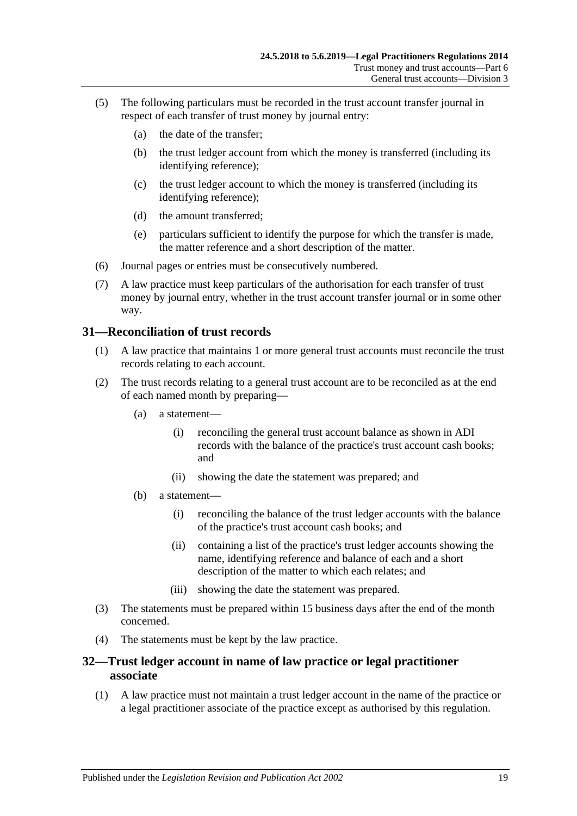- (5) The following particulars must be recorded in the trust account transfer journal in respect of each transfer of trust money by journal entry:
	- (a) the date of the transfer;
	- (b) the trust ledger account from which the money is transferred (including its identifying reference);
	- (c) the trust ledger account to which the money is transferred (including its identifying reference);
	- (d) the amount transferred;
	- (e) particulars sufficient to identify the purpose for which the transfer is made, the matter reference and a short description of the matter.
- (6) Journal pages or entries must be consecutively numbered.
- (7) A law practice must keep particulars of the authorisation for each transfer of trust money by journal entry, whether in the trust account transfer journal or in some other way.

### <span id="page-18-0"></span>**31—Reconciliation of trust records**

- (1) A law practice that maintains 1 or more general trust accounts must reconcile the trust records relating to each account.
- (2) The trust records relating to a general trust account are to be reconciled as at the end of each named month by preparing—
	- (a) a statement—
		- (i) reconciling the general trust account balance as shown in ADI records with the balance of the practice's trust account cash books; and
		- (ii) showing the date the statement was prepared; and
	- (b) a statement—
		- (i) reconciling the balance of the trust ledger accounts with the balance of the practice's trust account cash books; and
		- (ii) containing a list of the practice's trust ledger accounts showing the name, identifying reference and balance of each and a short description of the matter to which each relates; and
		- (iii) showing the date the statement was prepared.
- (3) The statements must be prepared within 15 business days after the end of the month concerned.
- (4) The statements must be kept by the law practice.

# <span id="page-18-1"></span>**32—Trust ledger account in name of law practice or legal practitioner associate**

(1) A law practice must not maintain a trust ledger account in the name of the practice or a legal practitioner associate of the practice except as authorised by this regulation.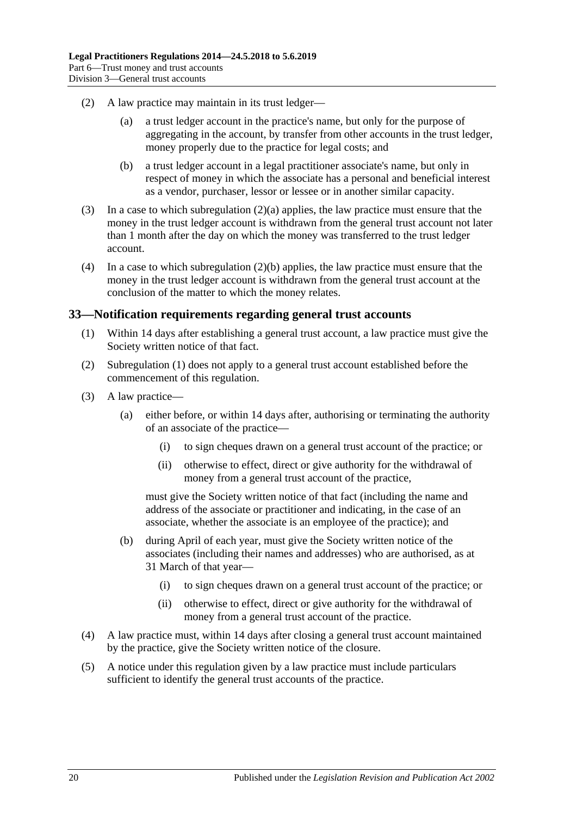- <span id="page-19-1"></span>(2) A law practice may maintain in its trust ledger—
	- (a) a trust ledger account in the practice's name, but only for the purpose of aggregating in the account, by transfer from other accounts in the trust ledger, money properly due to the practice for legal costs; and
	- (b) a trust ledger account in a legal practitioner associate's name, but only in respect of money in which the associate has a personal and beneficial interest as a vendor, purchaser, lessor or lessee or in another similar capacity.
- <span id="page-19-2"></span>(3) In a case to which [subregulation](#page-19-1) (2)(a) applies, the law practice must ensure that the money in the trust ledger account is withdrawn from the general trust account not later than 1 month after the day on which the money was transferred to the trust ledger account.
- (4) In a case to which [subregulation](#page-19-2) (2)(b) applies, the law practice must ensure that the money in the trust ledger account is withdrawn from the general trust account at the conclusion of the matter to which the money relates.

# <span id="page-19-3"></span><span id="page-19-0"></span>**33—Notification requirements regarding general trust accounts**

- (1) Within 14 days after establishing a general trust account, a law practice must give the Society written notice of that fact.
- (2) [Subregulation](#page-19-3) (1) does not apply to a general trust account established before the commencement of this regulation.
- (3) A law practice—
	- (a) either before, or within 14 days after, authorising or terminating the authority of an associate of the practice—
		- (i) to sign cheques drawn on a general trust account of the practice; or
		- (ii) otherwise to effect, direct or give authority for the withdrawal of money from a general trust account of the practice,

must give the Society written notice of that fact (including the name and address of the associate or practitioner and indicating, in the case of an associate, whether the associate is an employee of the practice); and

- (b) during April of each year, must give the Society written notice of the associates (including their names and addresses) who are authorised, as at 31 March of that year—
	- (i) to sign cheques drawn on a general trust account of the practice; or
	- (ii) otherwise to effect, direct or give authority for the withdrawal of money from a general trust account of the practice.
- (4) A law practice must, within 14 days after closing a general trust account maintained by the practice, give the Society written notice of the closure.
- (5) A notice under this regulation given by a law practice must include particulars sufficient to identify the general trust accounts of the practice.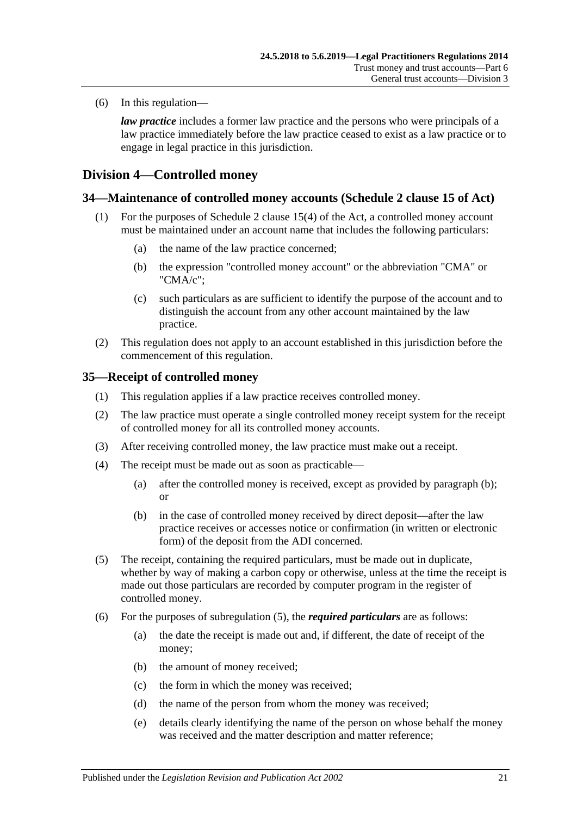(6) In this regulation—

*law practice* includes a former law practice and the persons who were principals of a law practice immediately before the law practice ceased to exist as a law practice or to engage in legal practice in this jurisdiction.

# <span id="page-20-0"></span>**Division 4—Controlled money**

# <span id="page-20-1"></span>**34—Maintenance of controlled money accounts (Schedule 2 clause 15 of Act)**

- (1) For the purposes of Schedule 2 clause 15(4) of the Act, a controlled money account must be maintained under an account name that includes the following particulars:
	- (a) the name of the law practice concerned;
	- (b) the expression "controlled money account" or the abbreviation "CMA" or "CMA/c";
	- (c) such particulars as are sufficient to identify the purpose of the account and to distinguish the account from any other account maintained by the law practice.
- (2) This regulation does not apply to an account established in this jurisdiction before the commencement of this regulation.

### <span id="page-20-2"></span>**35—Receipt of controlled money**

- (1) This regulation applies if a law practice receives controlled money.
- (2) The law practice must operate a single controlled money receipt system for the receipt of controlled money for all its controlled money accounts.
- (3) After receiving controlled money, the law practice must make out a receipt.
- <span id="page-20-3"></span>(4) The receipt must be made out as soon as practicable—
	- (a) after the controlled money is received, except as provided by [paragraph](#page-20-3) (b); or
	- (b) in the case of controlled money received by direct deposit—after the law practice receives or accesses notice or confirmation (in written or electronic form) of the deposit from the ADI concerned.
- <span id="page-20-4"></span>(5) The receipt, containing the required particulars, must be made out in duplicate, whether by way of making a carbon copy or otherwise, unless at the time the receipt is made out those particulars are recorded by computer program in the register of controlled money.
- (6) For the purposes of [subregulation](#page-20-4) (5), the *required particulars* are as follows:
	- (a) the date the receipt is made out and, if different, the date of receipt of the money;
	- (b) the amount of money received;
	- (c) the form in which the money was received;
	- (d) the name of the person from whom the money was received;
	- (e) details clearly identifying the name of the person on whose behalf the money was received and the matter description and matter reference;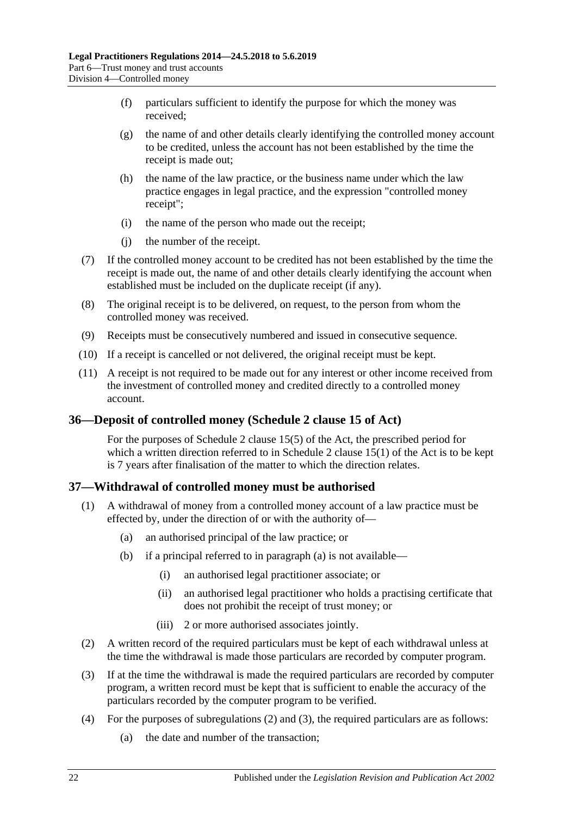- (f) particulars sufficient to identify the purpose for which the money was received;
- (g) the name of and other details clearly identifying the controlled money account to be credited, unless the account has not been established by the time the receipt is made out;
- (h) the name of the law practice, or the business name under which the law practice engages in legal practice, and the expression "controlled money receipt";
- (i) the name of the person who made out the receipt;
- (j) the number of the receipt.
- (7) If the controlled money account to be credited has not been established by the time the receipt is made out, the name of and other details clearly identifying the account when established must be included on the duplicate receipt (if any).
- (8) The original receipt is to be delivered, on request, to the person from whom the controlled money was received.
- (9) Receipts must be consecutively numbered and issued in consecutive sequence.
- (10) If a receipt is cancelled or not delivered, the original receipt must be kept.
- (11) A receipt is not required to be made out for any interest or other income received from the investment of controlled money and credited directly to a controlled money account.

# <span id="page-21-0"></span>**36—Deposit of controlled money (Schedule 2 clause 15 of Act)**

For the purposes of Schedule 2 clause 15(5) of the Act, the prescribed period for which a written direction referred to in Schedule 2 clause  $15(1)$  of the Act is to be kept is 7 years after finalisation of the matter to which the direction relates.

# <span id="page-21-1"></span>**37—Withdrawal of controlled money must be authorised**

- <span id="page-21-2"></span>(1) A withdrawal of money from a controlled money account of a law practice must be effected by, under the direction of or with the authority of—
	- (a) an authorised principal of the law practice; or
	- (b) if a principal referred to in [paragraph](#page-21-2) (a) is not available—
		- (i) an authorised legal practitioner associate; or
		- (ii) an authorised legal practitioner who holds a practising certificate that does not prohibit the receipt of trust money; or
		- (iii) 2 or more authorised associates jointly.
- <span id="page-21-3"></span>(2) A written record of the required particulars must be kept of each withdrawal unless at the time the withdrawal is made those particulars are recorded by computer program.
- <span id="page-21-4"></span>(3) If at the time the withdrawal is made the required particulars are recorded by computer program, a written record must be kept that is sufficient to enable the accuracy of the particulars recorded by the computer program to be verified.
- <span id="page-21-5"></span>(4) For the purposes of [subregulations](#page-21-3) (2) and [\(3\),](#page-21-4) the required particulars are as follows:
	- (a) the date and number of the transaction;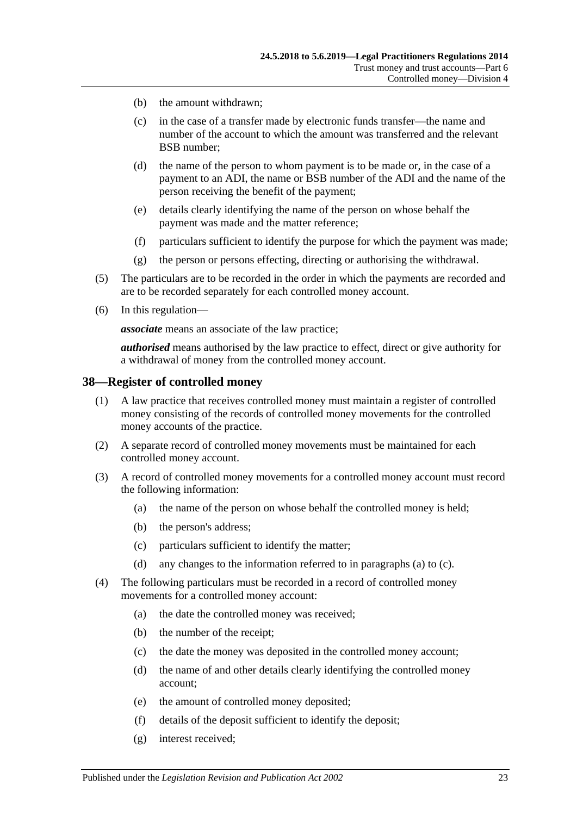- (b) the amount withdrawn;
- (c) in the case of a transfer made by electronic funds transfer—the name and number of the account to which the amount was transferred and the relevant BSB number;
- (d) the name of the person to whom payment is to be made or, in the case of a payment to an ADI, the name or BSB number of the ADI and the name of the person receiving the benefit of the payment;
- (e) details clearly identifying the name of the person on whose behalf the payment was made and the matter reference;
- (f) particulars sufficient to identify the purpose for which the payment was made;
- (g) the person or persons effecting, directing or authorising the withdrawal.
- (5) The particulars are to be recorded in the order in which the payments are recorded and are to be recorded separately for each controlled money account.
- (6) In this regulation—

*associate* means an associate of the law practice;

*authorised* means authorised by the law practice to effect, direct or give authority for a withdrawal of money from the controlled money account.

#### <span id="page-22-0"></span>**38—Register of controlled money**

- (1) A law practice that receives controlled money must maintain a register of controlled money consisting of the records of controlled money movements for the controlled money accounts of the practice.
- (2) A separate record of controlled money movements must be maintained for each controlled money account.
- <span id="page-22-1"></span>(3) A record of controlled money movements for a controlled money account must record the following information:
	- (a) the name of the person on whose behalf the controlled money is held;
	- (b) the person's address;
	- (c) particulars sufficient to identify the matter;
	- (d) any changes to the information referred to in [paragraphs](#page-22-1) (a) to [\(c\).](#page-22-2)
- <span id="page-22-2"></span>(4) The following particulars must be recorded in a record of controlled money movements for a controlled money account:
	- (a) the date the controlled money was received;
	- (b) the number of the receipt;
	- (c) the date the money was deposited in the controlled money account;
	- (d) the name of and other details clearly identifying the controlled money account;
	- (e) the amount of controlled money deposited;
	- (f) details of the deposit sufficient to identify the deposit;
	- (g) interest received;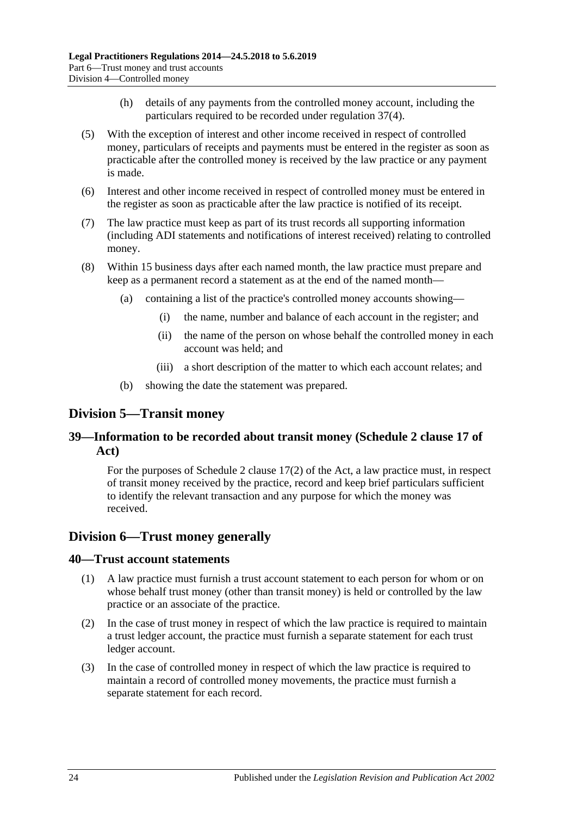- (h) details of any payments from the controlled money account, including the particulars required to be recorded under [regulation](#page-21-5) 37(4).
- (5) With the exception of interest and other income received in respect of controlled money, particulars of receipts and payments must be entered in the register as soon as practicable after the controlled money is received by the law practice or any payment is made.
- (6) Interest and other income received in respect of controlled money must be entered in the register as soon as practicable after the law practice is notified of its receipt.
- (7) The law practice must keep as part of its trust records all supporting information (including ADI statements and notifications of interest received) relating to controlled money.
- (8) Within 15 business days after each named month, the law practice must prepare and keep as a permanent record a statement as at the end of the named month—
	- (a) containing a list of the practice's controlled money accounts showing—
		- (i) the name, number and balance of each account in the register; and
		- (ii) the name of the person on whose behalf the controlled money in each account was held; and
		- (iii) a short description of the matter to which each account relates; and
	- (b) showing the date the statement was prepared.

# <span id="page-23-0"></span>**Division 5—Transit money**

# <span id="page-23-1"></span>**39—Information to be recorded about transit money (Schedule 2 clause 17 of Act)**

For the purposes of Schedule 2 clause 17(2) of the Act, a law practice must, in respect of transit money received by the practice, record and keep brief particulars sufficient to identify the relevant transaction and any purpose for which the money was received.

# <span id="page-23-2"></span>**Division 6—Trust money generally**

#### <span id="page-23-3"></span>**40—Trust account statements**

- (1) A law practice must furnish a trust account statement to each person for whom or on whose behalf trust money (other than transit money) is held or controlled by the law practice or an associate of the practice.
- (2) In the case of trust money in respect of which the law practice is required to maintain a trust ledger account, the practice must furnish a separate statement for each trust ledger account.
- (3) In the case of controlled money in respect of which the law practice is required to maintain a record of controlled money movements, the practice must furnish a separate statement for each record.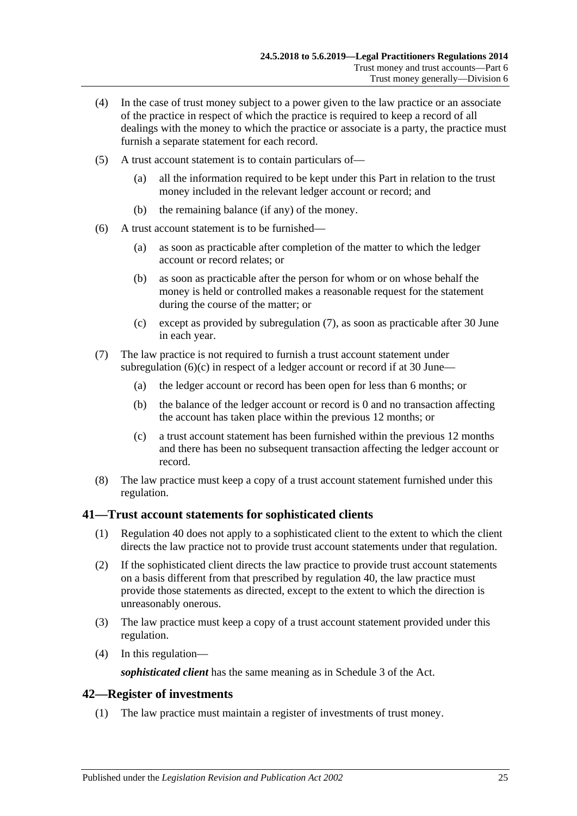- (4) In the case of trust money subject to a power given to the law practice or an associate of the practice in respect of which the practice is required to keep a record of all dealings with the money to which the practice or associate is a party, the practice must furnish a separate statement for each record.
- (5) A trust account statement is to contain particulars of—
	- (a) all the information required to be kept under this Part in relation to the trust money included in the relevant ledger account or record; and
	- (b) the remaining balance (if any) of the money.
- (6) A trust account statement is to be furnished—
	- (a) as soon as practicable after completion of the matter to which the ledger account or record relates; or
	- (b) as soon as practicable after the person for whom or on whose behalf the money is held or controlled makes a reasonable request for the statement during the course of the matter; or
	- (c) except as provided by [subregulation](#page-24-2) (7), as soon as practicable after 30 June in each year.
- <span id="page-24-3"></span><span id="page-24-2"></span>(7) The law practice is not required to furnish a trust account statement under [subregulation](#page-24-3)  $(6)(c)$  in respect of a ledger account or record if at 30 June—
	- (a) the ledger account or record has been open for less than 6 months; or
	- (b) the balance of the ledger account or record is 0 and no transaction affecting the account has taken place within the previous 12 months; or
	- (c) a trust account statement has been furnished within the previous 12 months and there has been no subsequent transaction affecting the ledger account or record.
- (8) The law practice must keep a copy of a trust account statement furnished under this regulation.

#### <span id="page-24-0"></span>**41—Trust account statements for sophisticated clients**

- (1) [Regulation](#page-23-3) 40 does not apply to a sophisticated client to the extent to which the client directs the law practice not to provide trust account statements under that regulation.
- (2) If the sophisticated client directs the law practice to provide trust account statements on a basis different from that prescribed by [regulation](#page-23-3) 40, the law practice must provide those statements as directed, except to the extent to which the direction is unreasonably onerous.
- (3) The law practice must keep a copy of a trust account statement provided under this regulation.
- (4) In this regulation—

*sophisticated client* has the same meaning as in Schedule 3 of the Act.

#### <span id="page-24-1"></span>**42—Register of investments**

(1) The law practice must maintain a register of investments of trust money.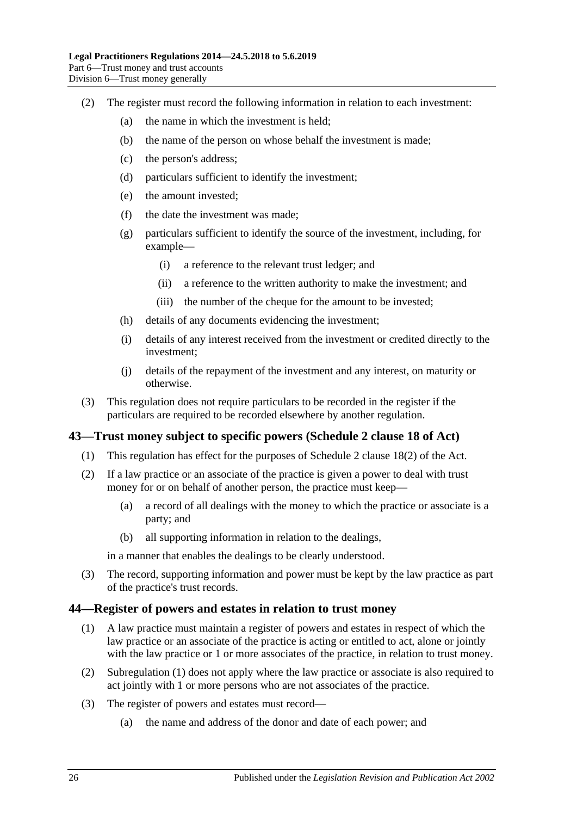- (2) The register must record the following information in relation to each investment:
	- (a) the name in which the investment is held;
	- (b) the name of the person on whose behalf the investment is made;
	- (c) the person's address;
	- (d) particulars sufficient to identify the investment;
	- (e) the amount invested;
	- (f) the date the investment was made;
	- (g) particulars sufficient to identify the source of the investment, including, for example—
		- (i) a reference to the relevant trust ledger; and
		- (ii) a reference to the written authority to make the investment; and
		- (iii) the number of the cheque for the amount to be invested;
	- (h) details of any documents evidencing the investment;
	- (i) details of any interest received from the investment or credited directly to the investment;
	- (j) details of the repayment of the investment and any interest, on maturity or otherwise.
- (3) This regulation does not require particulars to be recorded in the register if the particulars are required to be recorded elsewhere by another regulation.

# <span id="page-25-0"></span>**43—Trust money subject to specific powers (Schedule 2 clause 18 of Act)**

- (1) This regulation has effect for the purposes of Schedule 2 clause 18(2) of the Act.
- (2) If a law practice or an associate of the practice is given a power to deal with trust money for or on behalf of another person, the practice must keep—
	- (a) a record of all dealings with the money to which the practice or associate is a party; and
	- (b) all supporting information in relation to the dealings,

in a manner that enables the dealings to be clearly understood.

(3) The record, supporting information and power must be kept by the law practice as part of the practice's trust records.

#### <span id="page-25-2"></span><span id="page-25-1"></span>**44—Register of powers and estates in relation to trust money**

- (1) A law practice must maintain a register of powers and estates in respect of which the law practice or an associate of the practice is acting or entitled to act, alone or jointly with the law practice or 1 or more associates of the practice, in relation to trust money.
- (2) [Subregulation](#page-25-2) (1) does not apply where the law practice or associate is also required to act jointly with 1 or more persons who are not associates of the practice.
- (3) The register of powers and estates must record—
	- (a) the name and address of the donor and date of each power; and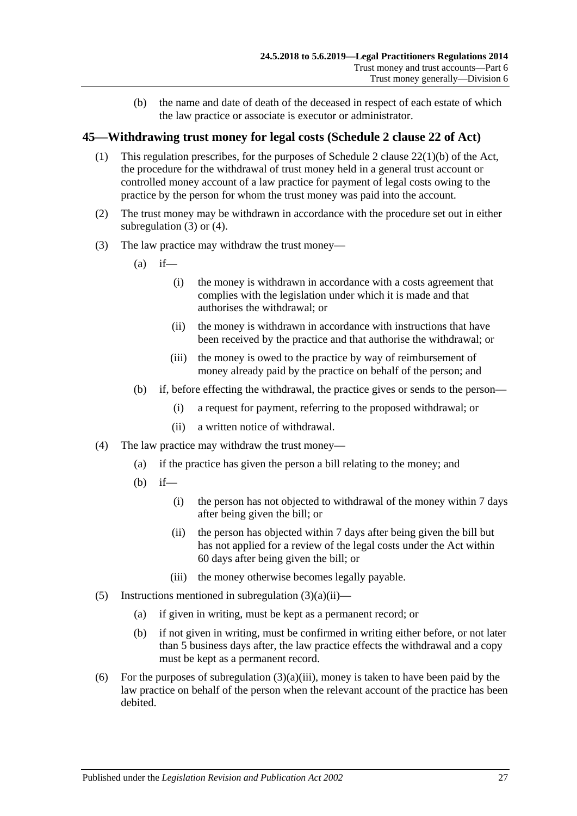(b) the name and date of death of the deceased in respect of each estate of which the law practice or associate is executor or administrator.

# <span id="page-26-0"></span>**45—Withdrawing trust money for legal costs (Schedule 2 clause 22 of Act)**

- (1) This regulation prescribes, for the purposes of Schedule 2 clause 22(1)(b) of the Act, the procedure for the withdrawal of trust money held in a general trust account or controlled money account of a law practice for payment of legal costs owing to the practice by the person for whom the trust money was paid into the account.
- (2) The trust money may be withdrawn in accordance with the procedure set out in either [subregulation](#page-26-1) (3) or [\(4\).](#page-26-2)
- <span id="page-26-3"></span><span id="page-26-1"></span>(3) The law practice may withdraw the trust money—
	- $(a)$  if—
		- (i) the money is withdrawn in accordance with a costs agreement that complies with the legislation under which it is made and that authorises the withdrawal; or
		- (ii) the money is withdrawn in accordance with instructions that have been received by the practice and that authorise the withdrawal; or
		- (iii) the money is owed to the practice by way of reimbursement of money already paid by the practice on behalf of the person; and
	- (b) if, before effecting the withdrawal, the practice gives or sends to the person—
		- (i) a request for payment, referring to the proposed withdrawal; or
		- (ii) a written notice of withdrawal.
- <span id="page-26-4"></span><span id="page-26-2"></span>(4) The law practice may withdraw the trust money—
	- (a) if the practice has given the person a bill relating to the money; and
	- (b) if—
		- (i) the person has not objected to withdrawal of the money within 7 days after being given the bill; or
		- (ii) the person has objected within 7 days after being given the bill but has not applied for a review of the legal costs under the Act within 60 days after being given the bill; or
		- (iii) the money otherwise becomes legally payable.
- (5) Instructions mentioned in [subregulation](#page-26-3)  $(3)(a)(ii)$ 
	- (a) if given in writing, must be kept as a permanent record; or
	- (b) if not given in writing, must be confirmed in writing either before, or not later than 5 business days after, the law practice effects the withdrawal and a copy must be kept as a permanent record.
- (6) For the purposes of [subregulation](#page-26-4)  $(3)(a)(iii)$ , money is taken to have been paid by the law practice on behalf of the person when the relevant account of the practice has been debited.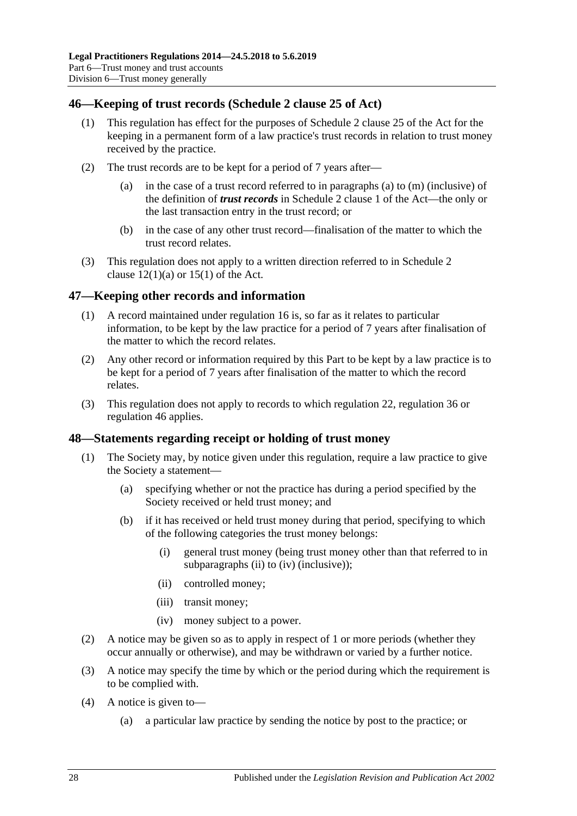# <span id="page-27-0"></span>**46—Keeping of trust records (Schedule 2 clause 25 of Act)**

- (1) This regulation has effect for the purposes of Schedule 2 clause 25 of the Act for the keeping in a permanent form of a law practice's trust records in relation to trust money received by the practice.
- (2) The trust records are to be kept for a period of 7 years after
	- in the case of a trust record referred to in paragraphs (a) to  $(m)$  (inclusive) of the definition of *trust records* in Schedule 2 clause 1 of the Act—the only or the last transaction entry in the trust record; or
	- (b) in the case of any other trust record—finalisation of the matter to which the trust record relates.
- (3) This regulation does not apply to a written direction referred to in Schedule 2 clause  $12(1)(a)$  or  $15(1)$  of the Act.

# <span id="page-27-1"></span>**47—Keeping other records and information**

- (1) A record maintained under [regulation](#page-8-1) 16 is, so far as it relates to particular information, to be kept by the law practice for a period of 7 years after finalisation of the matter to which the record relates.
- (2) Any other record or information required by this Part to be kept by a law practice is to be kept for a period of 7 years after finalisation of the matter to which the record relates.
- (3) This regulation does not apply to records to which [regulation](#page-11-1) 22, [regulation](#page-21-0) 36 or [regulation](#page-27-0) 46 applies.

#### <span id="page-27-2"></span>**48—Statements regarding receipt or holding of trust money**

- (1) The Society may, by notice given under this regulation, require a law practice to give the Society a statement—
	- (a) specifying whether or not the practice has during a period specified by the Society received or held trust money; and
	- (b) if it has received or held trust money during that period, specifying to which of the following categories the trust money belongs:
		- (i) general trust money (being trust money other than that referred to in [subparagraphs](#page-27-3) (ii) to [\(iv\)](#page-27-4) (inclusive));
		- (ii) controlled money;
		- (iii) transit money;
		- (iv) money subject to a power.
- <span id="page-27-4"></span><span id="page-27-3"></span>(2) A notice may be given so as to apply in respect of 1 or more periods (whether they occur annually or otherwise), and may be withdrawn or varied by a further notice.
- (3) A notice may specify the time by which or the period during which the requirement is to be complied with.
- (4) A notice is given to—
	- (a) a particular law practice by sending the notice by post to the practice; or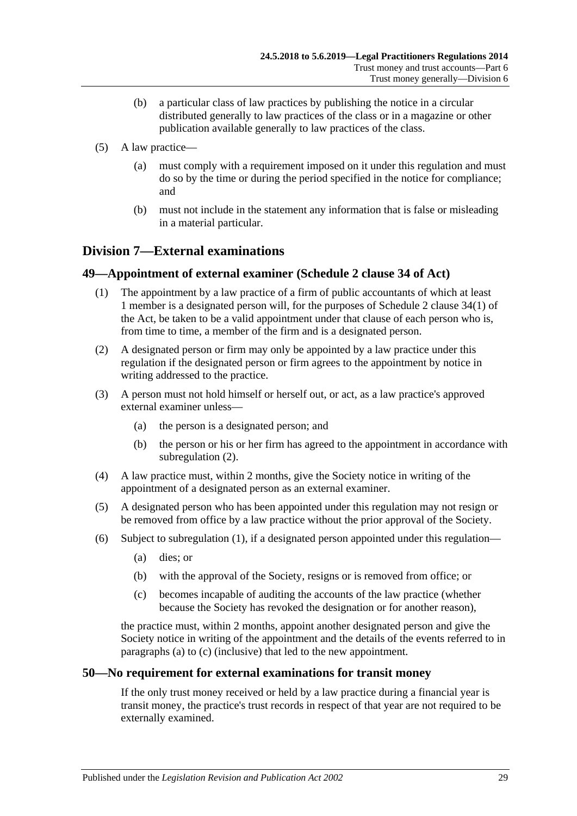- (b) a particular class of law practices by publishing the notice in a circular distributed generally to law practices of the class or in a magazine or other publication available generally to law practices of the class.
- (5) A law practice—
	- (a) must comply with a requirement imposed on it under this regulation and must do so by the time or during the period specified in the notice for compliance; and
	- (b) must not include in the statement any information that is false or misleading in a material particular.

# <span id="page-28-0"></span>**Division 7—External examinations**

# <span id="page-28-4"></span><span id="page-28-1"></span>**49—Appointment of external examiner (Schedule 2 clause 34 of Act)**

- (1) The appointment by a law practice of a firm of public accountants of which at least 1 member is a designated person will, for the purposes of Schedule 2 clause 34(1) of the Act, be taken to be a valid appointment under that clause of each person who is, from time to time, a member of the firm and is a designated person.
- <span id="page-28-3"></span>(2) A designated person or firm may only be appointed by a law practice under this regulation if the designated person or firm agrees to the appointment by notice in writing addressed to the practice.
- (3) A person must not hold himself or herself out, or act, as a law practice's approved external examiner unless—
	- (a) the person is a designated person; and
	- (b) the person or his or her firm has agreed to the appointment in accordance with [subregulation](#page-28-3) (2).
- (4) A law practice must, within 2 months, give the Society notice in writing of the appointment of a designated person as an external examiner.
- (5) A designated person who has been appointed under this regulation may not resign or be removed from office by a law practice without the prior approval of the Society.
- <span id="page-28-6"></span><span id="page-28-5"></span>(6) Subject to [subregulation](#page-28-4) (1), if a designated person appointed under this regulation—
	- (a) dies; or
	- (b) with the approval of the Society, resigns or is removed from office; or
	- (c) becomes incapable of auditing the accounts of the law practice (whether because the Society has revoked the designation or for another reason),

the practice must, within 2 months, appoint another designated person and give the Society notice in writing of the appointment and the details of the events referred to in [paragraphs](#page-28-5) (a) to [\(c\)](#page-28-6) (inclusive) that led to the new appointment.

# <span id="page-28-2"></span>**50—No requirement for external examinations for transit money**

If the only trust money received or held by a law practice during a financial year is transit money, the practice's trust records in respect of that year are not required to be externally examined.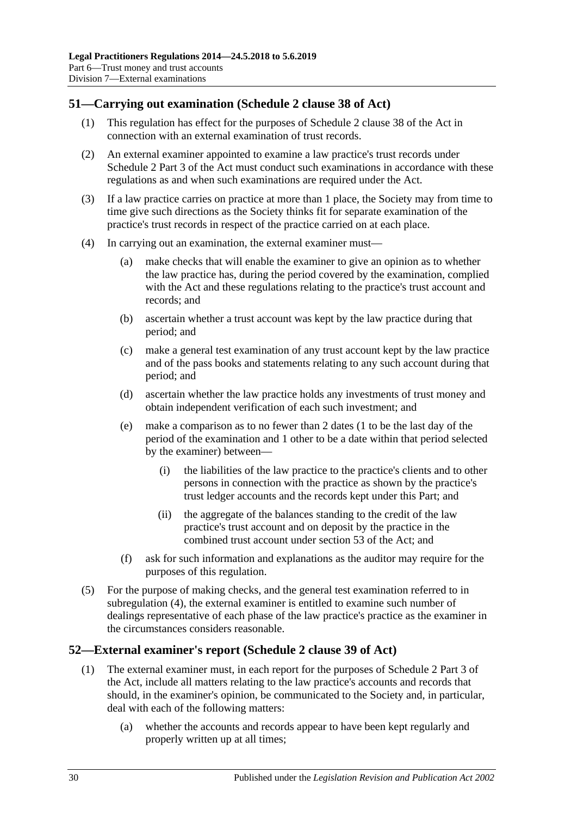# <span id="page-29-0"></span>**51—Carrying out examination (Schedule 2 clause 38 of Act)**

- (1) This regulation has effect for the purposes of Schedule 2 clause 38 of the Act in connection with an external examination of trust records.
- (2) An external examiner appointed to examine a law practice's trust records under Schedule 2 Part 3 of the Act must conduct such examinations in accordance with these regulations as and when such examinations are required under the Act.
- (3) If a law practice carries on practice at more than 1 place, the Society may from time to time give such directions as the Society thinks fit for separate examination of the practice's trust records in respect of the practice carried on at each place.
- <span id="page-29-3"></span><span id="page-29-2"></span>(4) In carrying out an examination, the external examiner must—
	- (a) make checks that will enable the examiner to give an opinion as to whether the law practice has, during the period covered by the examination, complied with the Act and these regulations relating to the practice's trust account and records; and
	- (b) ascertain whether a trust account was kept by the law practice during that period; and
	- (c) make a general test examination of any trust account kept by the law practice and of the pass books and statements relating to any such account during that period; and
	- (d) ascertain whether the law practice holds any investments of trust money and obtain independent verification of each such investment; and
	- (e) make a comparison as to no fewer than 2 dates (1 to be the last day of the period of the examination and 1 other to be a date within that period selected by the examiner) between—
		- (i) the liabilities of the law practice to the practice's clients and to other persons in connection with the practice as shown by the practice's trust ledger accounts and the records kept under this Part; and
		- (ii) the aggregate of the balances standing to the credit of the law practice's trust account and on deposit by the practice in the combined trust account under section 53 of the Act; and
	- (f) ask for such information and explanations as the auditor may require for the purposes of this regulation.
- (5) For the purpose of making checks, and the general test examination referred to in [subregulation](#page-29-2) (4), the external examiner is entitled to examine such number of dealings representative of each phase of the law practice's practice as the examiner in the circumstances considers reasonable.

# <span id="page-29-1"></span>**52—External examiner's report (Schedule 2 clause 39 of Act)**

- (1) The external examiner must, in each report for the purposes of Schedule 2 Part 3 of the Act, include all matters relating to the law practice's accounts and records that should, in the examiner's opinion, be communicated to the Society and, in particular, deal with each of the following matters:
	- (a) whether the accounts and records appear to have been kept regularly and properly written up at all times;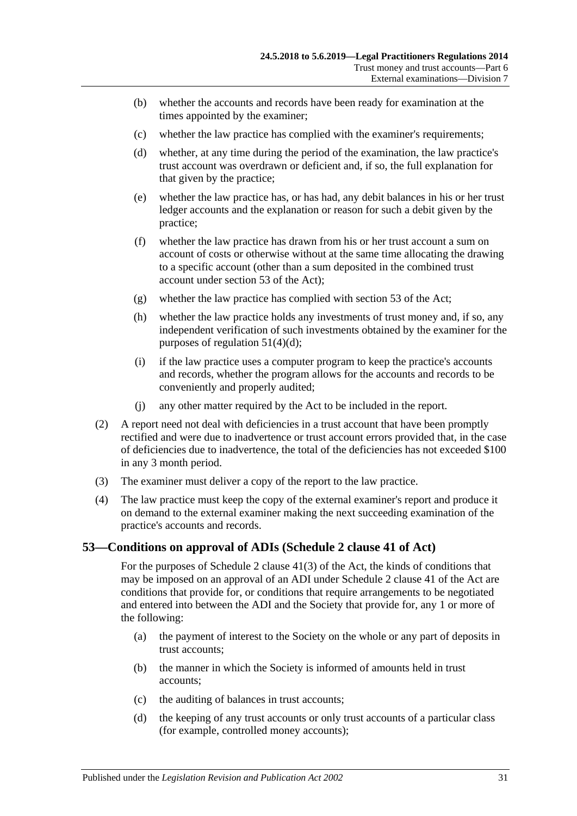- (b) whether the accounts and records have been ready for examination at the times appointed by the examiner;
- (c) whether the law practice has complied with the examiner's requirements;
- (d) whether, at any time during the period of the examination, the law practice's trust account was overdrawn or deficient and, if so, the full explanation for that given by the practice;
- (e) whether the law practice has, or has had, any debit balances in his or her trust ledger accounts and the explanation or reason for such a debit given by the practice;
- (f) whether the law practice has drawn from his or her trust account a sum on account of costs or otherwise without at the same time allocating the drawing to a specific account (other than a sum deposited in the combined trust account under section 53 of the Act);
- (g) whether the law practice has complied with section 53 of the Act;
- (h) whether the law practice holds any investments of trust money and, if so, any independent verification of such investments obtained by the examiner for the purposes of [regulation](#page-29-3) 51(4)(d);
- (i) if the law practice uses a computer program to keep the practice's accounts and records, whether the program allows for the accounts and records to be conveniently and properly audited;
- (j) any other matter required by the Act to be included in the report.
- (2) A report need not deal with deficiencies in a trust account that have been promptly rectified and were due to inadvertence or trust account errors provided that, in the case of deficiencies due to inadvertence, the total of the deficiencies has not exceeded \$100 in any 3 month period.
- (3) The examiner must deliver a copy of the report to the law practice.
- (4) The law practice must keep the copy of the external examiner's report and produce it on demand to the external examiner making the next succeeding examination of the practice's accounts and records.

# <span id="page-30-0"></span>**53—Conditions on approval of ADIs (Schedule 2 clause 41 of Act)**

For the purposes of Schedule 2 clause 41(3) of the Act, the kinds of conditions that may be imposed on an approval of an ADI under Schedule 2 clause 41 of the Act are conditions that provide for, or conditions that require arrangements to be negotiated and entered into between the ADI and the Society that provide for, any 1 or more of the following:

- <span id="page-30-1"></span>(a) the payment of interest to the Society on the whole or any part of deposits in trust accounts;
- (b) the manner in which the Society is informed of amounts held in trust accounts;
- (c) the auditing of balances in trust accounts;
- <span id="page-30-2"></span>(d) the keeping of any trust accounts or only trust accounts of a particular class (for example, controlled money accounts);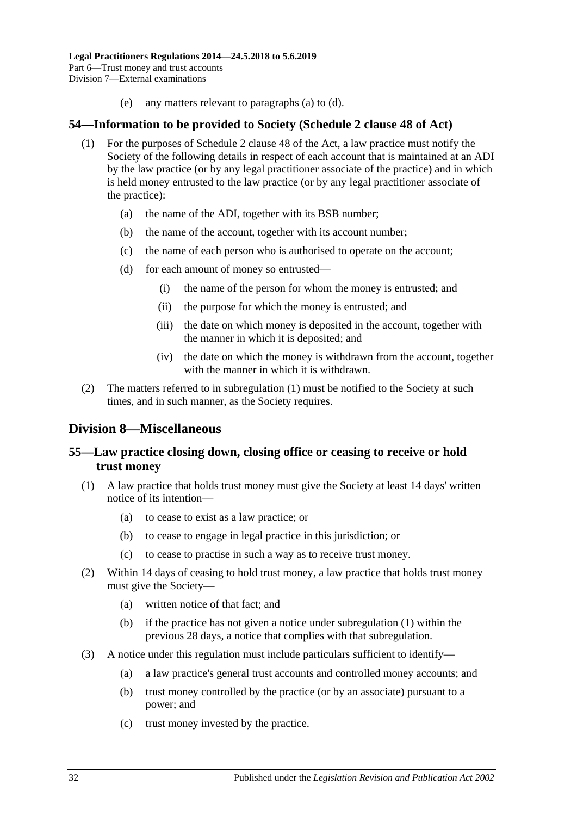(e) any matters relevant to [paragraphs](#page-30-1) (a) to [\(d\).](#page-30-2)

### <span id="page-31-4"></span><span id="page-31-0"></span>**54—Information to be provided to Society (Schedule 2 clause 48 of Act)**

- (1) For the purposes of Schedule 2 clause 48 of the Act, a law practice must notify the Society of the following details in respect of each account that is maintained at an ADI by the law practice (or by any legal practitioner associate of the practice) and in which is held money entrusted to the law practice (or by any legal practitioner associate of the practice):
	- (a) the name of the ADI, together with its BSB number;
	- (b) the name of the account, together with its account number;
	- (c) the name of each person who is authorised to operate on the account;
	- (d) for each amount of money so entrusted—
		- (i) the name of the person for whom the money is entrusted; and
		- (ii) the purpose for which the money is entrusted; and
		- (iii) the date on which money is deposited in the account, together with the manner in which it is deposited; and
		- (iv) the date on which the money is withdrawn from the account, together with the manner in which it is withdrawn.
- (2) The matters referred to in [subregulation](#page-31-4) (1) must be notified to the Society at such times, and in such manner, as the Society requires.

# <span id="page-31-1"></span>**Division 8—Miscellaneous**

# <span id="page-31-2"></span>**55—Law practice closing down, closing office or ceasing to receive or hold trust money**

- <span id="page-31-3"></span>(1) A law practice that holds trust money must give the Society at least 14 days' written notice of its intention—
	- (a) to cease to exist as a law practice; or
	- (b) to cease to engage in legal practice in this jurisdiction; or
	- (c) to cease to practise in such a way as to receive trust money.
- (2) Within 14 days of ceasing to hold trust money, a law practice that holds trust money must give the Society—
	- (a) written notice of that fact; and
	- (b) if the practice has not given a notice under [subregulation](#page-31-3) (1) within the previous 28 days, a notice that complies with that subregulation.
- (3) A notice under this regulation must include particulars sufficient to identify—
	- (a) a law practice's general trust accounts and controlled money accounts; and
	- (b) trust money controlled by the practice (or by an associate) pursuant to a power; and
	- (c) trust money invested by the practice.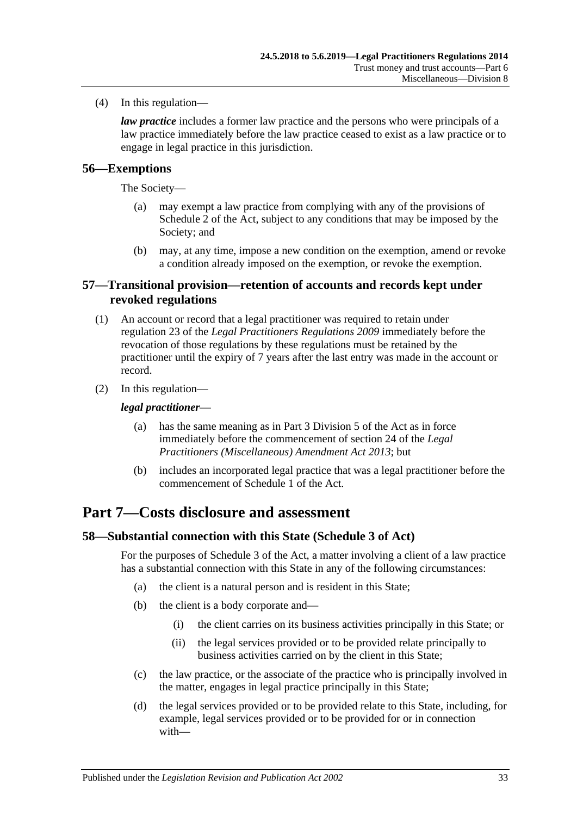(4) In this regulation—

*law practice* includes a former law practice and the persons who were principals of a law practice immediately before the law practice ceased to exist as a law practice or to engage in legal practice in this jurisdiction.

### <span id="page-32-0"></span>**56—Exemptions**

The Society—

- (a) may exempt a law practice from complying with any of the provisions of Schedule 2 of the Act, subject to any conditions that may be imposed by the Society; and
- (b) may, at any time, impose a new condition on the exemption, amend or revoke a condition already imposed on the exemption, or revoke the exemption.

### <span id="page-32-1"></span>**57—Transitional provision—retention of accounts and records kept under revoked regulations**

- (1) An account or record that a legal practitioner was required to retain under regulation 23 of the *[Legal Practitioners Regulations](http://www.legislation.sa.gov.au/index.aspx?action=legref&type=subordleg&legtitle=Legal%20Practitioners%20Regulations%202009) 2009* immediately before the revocation of those regulations by these regulations must be retained by the practitioner until the expiry of 7 years after the last entry was made in the account or record.
- (2) In this regulation—

#### *legal practitioner*—

- (a) has the same meaning as in Part 3 Division 5 of the Act as in force immediately before the commencement of section 24 of the *[Legal](http://www.legislation.sa.gov.au/index.aspx?action=legref&type=act&legtitle=Legal%20Practitioners%20(Miscellaneous)%20Amendment%20Act%202013)  [Practitioners \(Miscellaneous\) Amendment Act](http://www.legislation.sa.gov.au/index.aspx?action=legref&type=act&legtitle=Legal%20Practitioners%20(Miscellaneous)%20Amendment%20Act%202013) 2013*; but
- (b) includes an incorporated legal practice that was a legal practitioner before the commencement of Schedule 1 of the Act.

# <span id="page-32-2"></span>**Part 7—Costs disclosure and assessment**

#### <span id="page-32-3"></span>**58—Substantial connection with this State (Schedule 3 of Act)**

For the purposes of Schedule 3 of the Act, a matter involving a client of a law practice has a substantial connection with this State in any of the following circumstances:

- (a) the client is a natural person and is resident in this State;
- (b) the client is a body corporate and—
	- (i) the client carries on its business activities principally in this State; or
	- (ii) the legal services provided or to be provided relate principally to business activities carried on by the client in this State;
- (c) the law practice, or the associate of the practice who is principally involved in the matter, engages in legal practice principally in this State;
- (d) the legal services provided or to be provided relate to this State, including, for example, legal services provided or to be provided for or in connection with—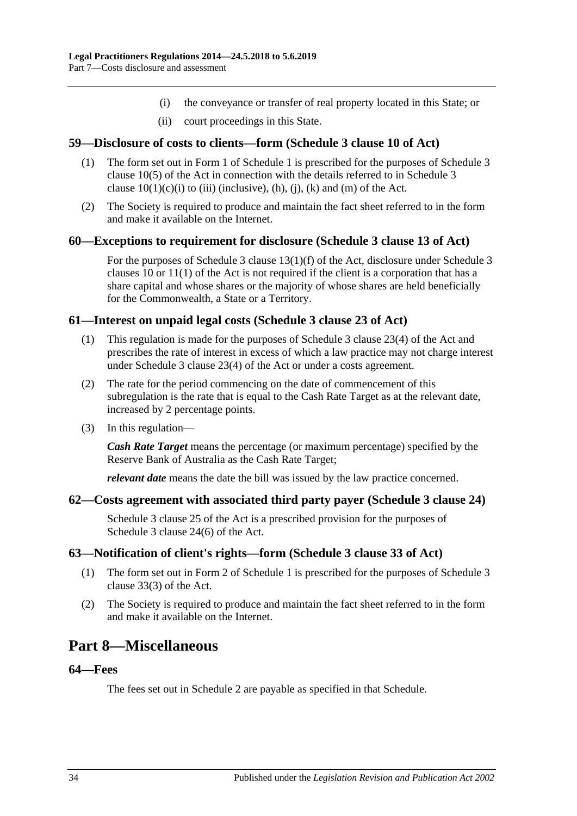- (i) the conveyance or transfer of real property located in this State; or
- (ii) court proceedings in this State.

### <span id="page-33-0"></span>**59—Disclosure of costs to clients—form (Schedule 3 clause 10 of Act)**

- (1) The form set out in Form 1 of [Schedule](#page-35-4) 1 is prescribed for the purposes of Schedule 3 clause 10(5) of the Act in connection with the details referred to in Schedule 3 clause  $10(1)(c)(i)$  to (iii) (inclusive), (h), (j), (k) and (m) of the Act.
- (2) The Society is required to produce and maintain the fact sheet referred to in the form and make it available on the Internet.

#### <span id="page-33-1"></span>**60—Exceptions to requirement for disclosure (Schedule 3 clause 13 of Act)**

For the purposes of Schedule 3 clause 13(1)(f) of the Act, disclosure under Schedule 3 clauses 10 or 11(1) of the Act is not required if the client is a corporation that has a share capital and whose shares or the majority of whose shares are held beneficially for the Commonwealth, a State or a Territory.

#### <span id="page-33-2"></span>**61—Interest on unpaid legal costs (Schedule 3 clause 23 of Act)**

- (1) This regulation is made for the purposes of Schedule 3 clause 23(4) of the Act and prescribes the rate of interest in excess of which a law practice may not charge interest under Schedule 3 clause 23(4) of the Act or under a costs agreement.
- (2) The rate for the period commencing on the date of commencement of this subregulation is the rate that is equal to the Cash Rate Target as at the relevant date, increased by 2 percentage points.
- (3) In this regulation—

*Cash Rate Target* means the percentage (or maximum percentage) specified by the Reserve Bank of Australia as the Cash Rate Target;

*relevant date* means the date the bill was issued by the law practice concerned.

#### <span id="page-33-3"></span>**62—Costs agreement with associated third party payer (Schedule 3 clause 24)**

Schedule 3 clause 25 of the Act is a prescribed provision for the purposes of Schedule 3 clause 24(6) of the Act.

#### <span id="page-33-4"></span>**63—Notification of client's rights—form (Schedule 3 clause 33 of Act)**

- (1) The form set out in Form 2 of [Schedule](#page-35-4) 1 is prescribed for the purposes of Schedule 3 clause 33(3) of the Act.
- (2) The Society is required to produce and maintain the fact sheet referred to in the form and make it available on the Internet.

# <span id="page-33-5"></span>**Part 8—Miscellaneous**

### <span id="page-33-6"></span>**64—Fees**

The fees set out in Schedule 2 are payable as specified in that Schedule.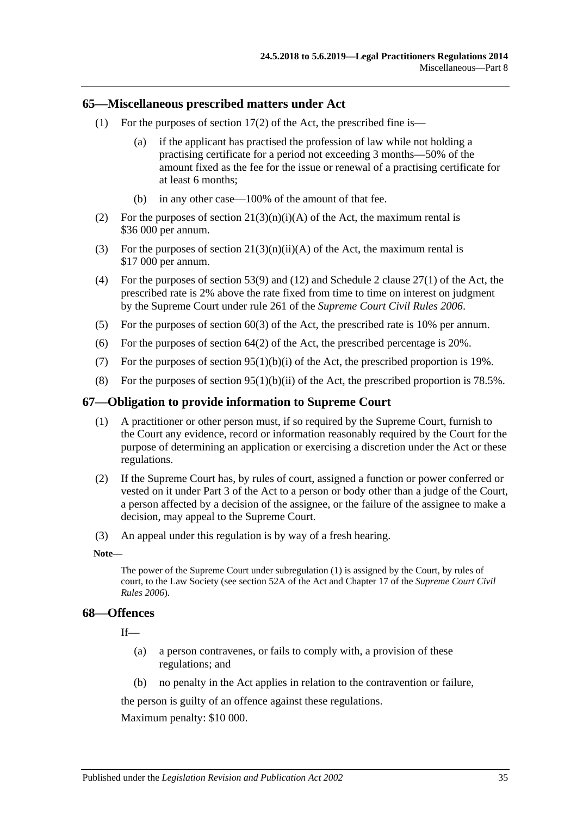#### <span id="page-34-0"></span>**65—Miscellaneous prescribed matters under Act**

- (1) For the purposes of section  $17(2)$  of the Act, the prescribed fine is—
	- (a) if the applicant has practised the profession of law while not holding a practising certificate for a period not exceeding 3 months—50% of the amount fixed as the fee for the issue or renewal of a practising certificate for at least 6 months;
	- (b) in any other case—100% of the amount of that fee.
- (2) For the purposes of section  $21(3)(n)(i)(A)$  of the Act, the maximum rental is \$36 000 per annum.
- (3) For the purposes of section  $21(3)(n)(ii)(A)$  of the Act, the maximum rental is \$17 000 per annum.
- (4) For the purposes of section 53(9) and (12) and Schedule 2 clause 27(1) of the Act, the prescribed rate is 2% above the rate fixed from time to time on interest on judgment by the Supreme Court under rule 261 of the *Supreme Court Civil Rules 2006*.
- (5) For the purposes of section 60(3) of the Act, the prescribed rate is 10% per annum.
- (6) For the purposes of section  $64(2)$  of the Act, the prescribed percentage is 20%.
- (7) For the purposes of section  $95(1)(b)(i)$  of the Act, the prescribed proportion is 19%.
- (8) For the purposes of section  $95(1)(b)(ii)$  of the Act, the prescribed proportion is 78.5%.

#### <span id="page-34-3"></span><span id="page-34-1"></span>**67—Obligation to provide information to Supreme Court**

- (1) A practitioner or other person must, if so required by the Supreme Court, furnish to the Court any evidence, record or information reasonably required by the Court for the purpose of determining an application or exercising a discretion under the Act or these regulations.
- (2) If the Supreme Court has, by rules of court, assigned a function or power conferred or vested on it under Part 3 of the Act to a person or body other than a judge of the Court, a person affected by a decision of the assignee, or the failure of the assignee to make a decision, may appeal to the Supreme Court.
- (3) An appeal under this regulation is by way of a fresh hearing.

#### **Note—**

The power of the Supreme Court unde[r subregulation](#page-34-3) (1) is assigned by the Court, by rules of court, to the Law Society (see section 52A of the Act and Chapter 17 of the *Supreme Court Civil Rules 2006*).

#### <span id="page-34-2"></span>**68—Offences**

If—

- (a) a person contravenes, or fails to comply with, a provision of these regulations; and
- (b) no penalty in the Act applies in relation to the contravention or failure,

the person is guilty of an offence against these regulations.

Maximum penalty: \$10 000.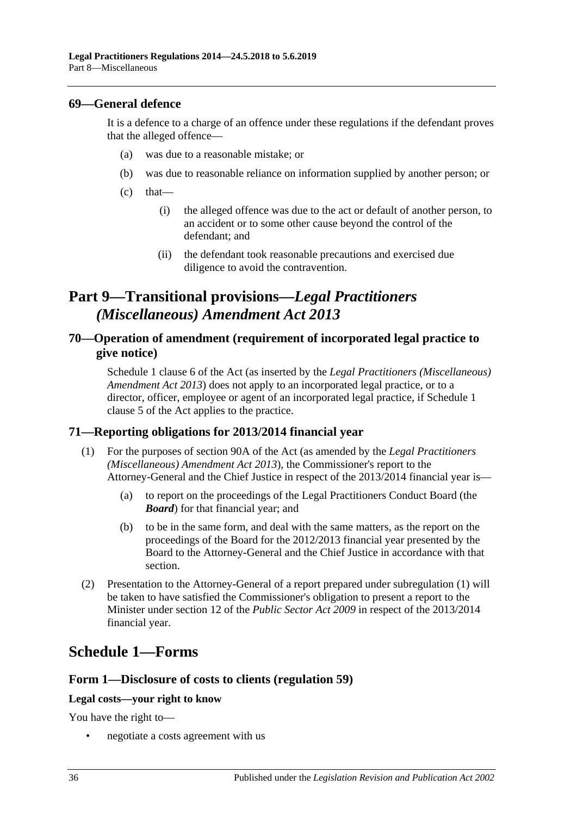### <span id="page-35-0"></span>**69—General defence**

It is a defence to a charge of an offence under these regulations if the defendant proves that the alleged offence—

- (a) was due to a reasonable mistake; or
- (b) was due to reasonable reliance on information supplied by another person; or
- $(c)$  that—
	- (i) the alleged offence was due to the act or default of another person, to an accident or to some other cause beyond the control of the defendant; and
	- (ii) the defendant took reasonable precautions and exercised due diligence to avoid the contravention.

# <span id="page-35-1"></span>**Part 9—Transitional provisions—***Legal Practitioners (Miscellaneous) Amendment Act 2013*

# <span id="page-35-2"></span>**70—Operation of amendment (requirement of incorporated legal practice to give notice)**

Schedule 1 clause 6 of the Act (as inserted by the *[Legal Practitioners \(Miscellaneous\)](http://www.legislation.sa.gov.au/index.aspx?action=legref&type=act&legtitle=Legal%20Practitioners%20(Miscellaneous)%20Amendment%20Act%202013)  [Amendment Act](http://www.legislation.sa.gov.au/index.aspx?action=legref&type=act&legtitle=Legal%20Practitioners%20(Miscellaneous)%20Amendment%20Act%202013) 2013*) does not apply to an incorporated legal practice, or to a director, officer, employee or agent of an incorporated legal practice, if Schedule 1 clause 5 of the Act applies to the practice.

# <span id="page-35-5"></span><span id="page-35-3"></span>**71—Reporting obligations for 2013/2014 financial year**

- (1) For the purposes of section 90A of the Act (as amended by the *[Legal Practitioners](http://www.legislation.sa.gov.au/index.aspx?action=legref&type=act&legtitle=Legal%20Practitioners%20(Miscellaneous)%20Amendment%20Act%202013)  [\(Miscellaneous\) Amendment Act](http://www.legislation.sa.gov.au/index.aspx?action=legref&type=act&legtitle=Legal%20Practitioners%20(Miscellaneous)%20Amendment%20Act%202013) 2013*), the Commissioner's report to the Attorney-General and the Chief Justice in respect of the 2013/2014 financial year is—
	- (a) to report on the proceedings of the Legal Practitioners Conduct Board (the *Board*) for that financial year; and
	- (b) to be in the same form, and deal with the same matters, as the report on the proceedings of the Board for the 2012/2013 financial year presented by the Board to the Attorney-General and the Chief Justice in accordance with that section.
- (2) Presentation to the Attorney-General of a report prepared under [subregulation](#page-35-5) (1) will be taken to have satisfied the Commissioner's obligation to present a report to the Minister under section 12 of the *[Public Sector Act](http://www.legislation.sa.gov.au/index.aspx?action=legref&type=act&legtitle=Public%20Sector%20Act%202009) 2009* in respect of the 2013/2014 financial year.

# <span id="page-35-4"></span>**Schedule 1—Forms**

# **Form 1—Disclosure of costs to clients [\(regulation](#page-33-0) 59)**

#### **Legal costs—your right to know**

You have the right to—

• negotiate a costs agreement with us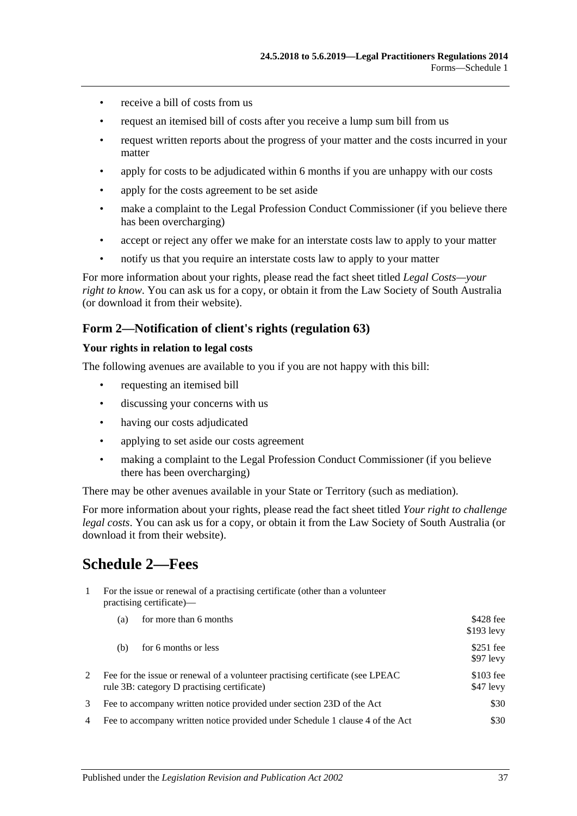- receive a bill of costs from us
- request an itemised bill of costs after you receive a lump sum bill from us
- request written reports about the progress of your matter and the costs incurred in your matter
- apply for costs to be adjudicated within 6 months if you are unhappy with our costs
- apply for the costs agreement to be set aside
- make a complaint to the Legal Profession Conduct Commissioner (if you believe there has been overcharging)
- accept or reject any offer we make for an interstate costs law to apply to your matter
- notify us that you require an interstate costs law to apply to your matter

For more information about your rights, please read the fact sheet titled *Legal Costs—your right to know*. You can ask us for a copy, or obtain it from the Law Society of South Australia (or download it from their website).

### **Form 2—Notification of client's rights [\(regulation](#page-33-4) 63)**

#### **Your rights in relation to legal costs**

The following avenues are available to you if you are not happy with this bill:

- requesting an itemised bill
- discussing your concerns with us
- having our costs adjudicated
- applying to set aside our costs agreement
- making a complaint to the Legal Profession Conduct Commissioner (if you believe there has been overcharging)

There may be other avenues available in your State or Territory (such as mediation).

For more information about your rights, please read the fact sheet titled *Your right to challenge legal costs*. You can ask us for a copy, or obtain it from the Law Society of South Australia (or download it from their website).

# <span id="page-36-0"></span>**Schedule 2—Fees**

1 For the issue or renewal of a practising certificate (other than a volunteer practising certificate)—

| for more than 6 months<br>(a)                                                                                                 | \$428 fee<br>$$193$ levy |
|-------------------------------------------------------------------------------------------------------------------------------|--------------------------|
| for 6 months or less<br>(b)                                                                                                   | $$251$ fee<br>$$97$ levy |
| Fee for the issue or renewal of a volunteer practising certificate (see LPEAC)<br>rule 3B: category D practising certificate) | $$103$ fee<br>\$47 levy  |
| Fee to accompany written notice provided under section 23D of the Act                                                         | \$30                     |
| Fee to accompany written notice provided under Schedule 1 clause 4 of the Act<br>4                                            | \$30                     |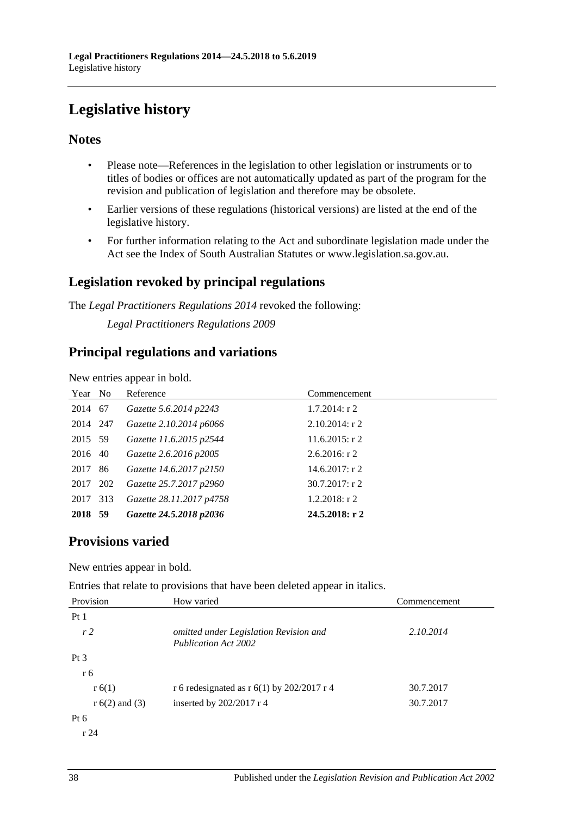# <span id="page-37-0"></span>**Legislative history**

# **Notes**

- Please note—References in the legislation to other legislation or instruments or to titles of bodies or offices are not automatically updated as part of the program for the revision and publication of legislation and therefore may be obsolete.
- Earlier versions of these regulations (historical versions) are listed at the end of the legislative history.
- For further information relating to the Act and subordinate legislation made under the Act see the Index of South Australian Statutes or www.legislation.sa.gov.au.

# **Legislation revoked by principal regulations**

The *Legal Practitioners Regulations 2014* revoked the following:

*Legal Practitioners Regulations 2009*

# **Principal regulations and variations**

New entries appear in bold.

| Year No  |     | Reference                | Commencement      |
|----------|-----|--------------------------|-------------------|
| 2014 67  |     | Gazette 5.6.2014 p2243   | $1.7.2014$ : r 2  |
| 2014 247 |     | Gazette 2.10.2014 p6066  | $2.10.2014$ : r 2 |
| 2015 59  |     | Gazette 11.6.2015 p2544  | $11.6.2015$ : r 2 |
| 2016 40  |     | Gazette 2.6.2016 p2005   | $2.6.2016$ : r 2  |
| 2017     | -86 | Gazette 14.6.2017 p2150  | $14.6.2017:$ r 2  |
| 2017 202 |     | Gazette 25.7.2017 p2960  | $30.7.2017$ : r 2 |
| 2017     | 313 | Gazette 28.11.2017 p4758 | $1.2.2018$ : r 2  |
| 2018 59  |     | Gazette 24.5.2018 p2036  | 24.5.2018: r2     |

# **Provisions varied**

New entries appear in bold.

Entries that relate to provisions that have been deleted appear in italics.

| Provision        | How varied                                                     | Commencement |
|------------------|----------------------------------------------------------------|--------------|
| Pt1              |                                                                |              |
| r2               | omitted under Legislation Revision and<br>Publication Act 2002 | 2.10.2014    |
| Pt <sub>3</sub>  |                                                                |              |
| r 6              |                                                                |              |
| r(6(1))          | r 6 redesignated as r $6(1)$ by 202/2017 r 4                   | 30.7.2017    |
| $r 6(2)$ and (3) | inserted by $202/2017$ r 4                                     | 30.7.2017    |
| $Pt\ 6$          |                                                                |              |
| r24              |                                                                |              |